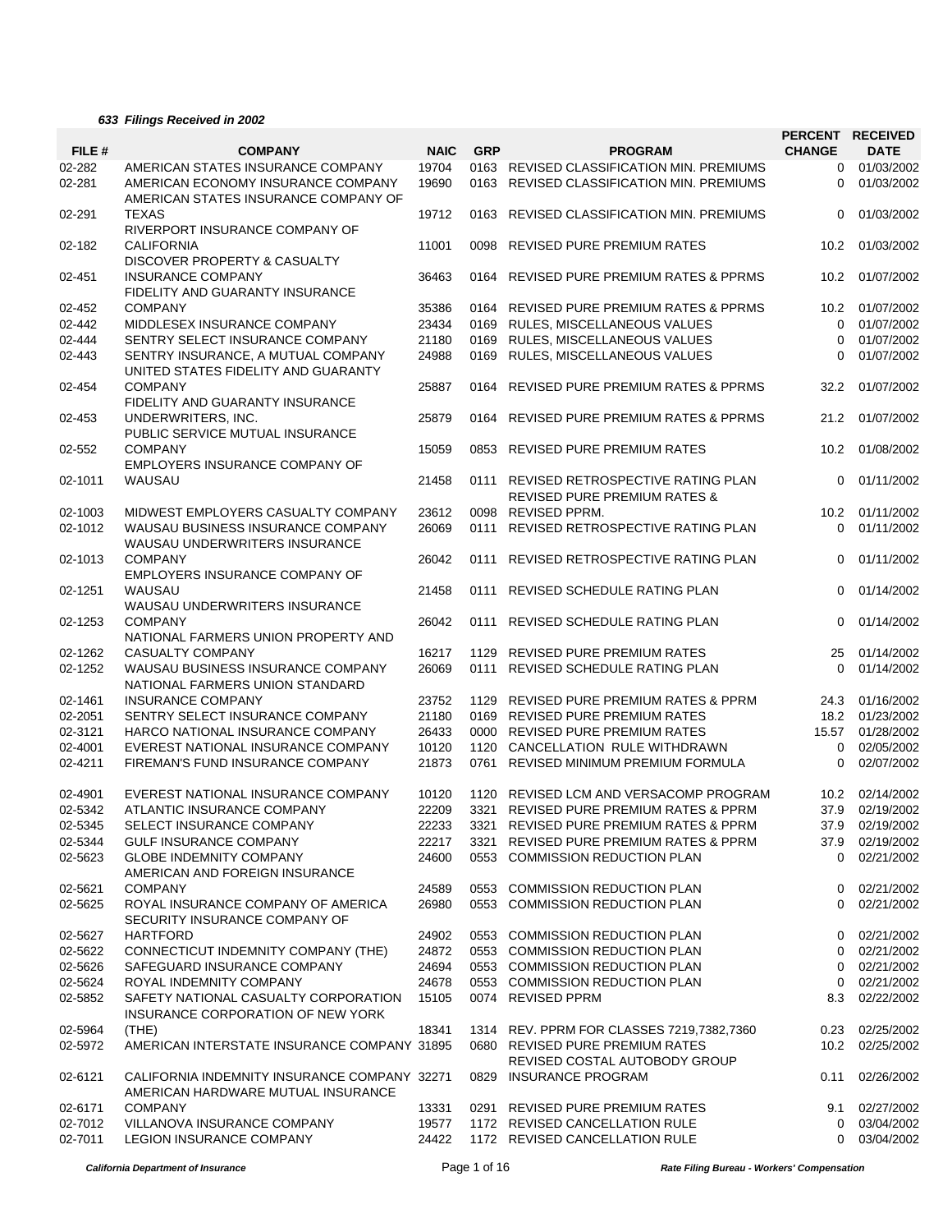## *633 Filings Received in 2002*

|         |                                              |             |            |                                              |               | PERCENT RECEIVED |
|---------|----------------------------------------------|-------------|------------|----------------------------------------------|---------------|------------------|
| FILE #  | <b>COMPANY</b>                               | <b>NAIC</b> | <b>GRP</b> | <b>PROGRAM</b>                               | <b>CHANGE</b> | <b>DATE</b>      |
| 02-282  | AMERICAN STATES INSURANCE COMPANY            | 19704       |            | 0163 REVISED CLASSIFICATION MIN. PREMIUMS    | $\Omega$      | 01/03/2002       |
| 02-281  | AMERICAN ECONOMY INSURANCE COMPANY           | 19690       |            | 0163 REVISED CLASSIFICATION MIN. PREMIUMS    | $\Omega$      | 01/03/2002       |
|         | AMERICAN STATES INSURANCE COMPANY OF         |             |            |                                              |               |                  |
| 02-291  | <b>TEXAS</b>                                 | 19712       |            | 0163 REVISED CLASSIFICATION MIN. PREMIUMS    | 0             | 01/03/2002       |
|         | RIVERPORT INSURANCE COMPANY OF               |             |            |                                              |               |                  |
| 02-182  | <b>CALIFORNIA</b>                            | 11001       |            | 0098 REVISED PURE PREMIUM RATES              | 10.2          | 01/03/2002       |
|         | DISCOVER PROPERTY & CASUALTY                 |             |            |                                              |               |                  |
| 02-451  | <b>INSURANCE COMPANY</b>                     | 36463       |            | 0164 REVISED PURE PREMIUM RATES & PPRMS      | 10.2          | 01/07/2002       |
|         | FIDELITY AND GUARANTY INSURANCE              |             |            |                                              |               |                  |
| 02-452  | <b>COMPANY</b>                               | 35386       |            | 0164 REVISED PURE PREMIUM RATES & PPRMS      | 10.2          | 01/07/2002       |
| 02-442  | MIDDLESEX INSURANCE COMPANY                  | 23434       |            | 0169 RULES, MISCELLANEOUS VALUES             | $\mathbf 0$   | 01/07/2002       |
| 02-444  | SENTRY SELECT INSURANCE COMPANY              | 21180       |            | 0169 RULES, MISCELLANEOUS VALUES             | $\Omega$      | 01/07/2002       |
| 02-443  | SENTRY INSURANCE, A MUTUAL COMPANY           | 24988       |            | 0169 RULES, MISCELLANEOUS VALUES             | 0             | 01/07/2002       |
|         | UNITED STATES FIDELITY AND GUARANTY          |             |            |                                              |               |                  |
|         |                                              |             |            |                                              |               |                  |
| 02-454  | <b>COMPANY</b>                               | 25887       |            | 0164 REVISED PURE PREMIUM RATES & PPRMS      | 32.2          | 01/07/2002       |
|         | FIDELITY AND GUARANTY INSURANCE              |             |            |                                              |               |                  |
| 02-453  | UNDERWRITERS, INC.                           | 25879       |            | 0164 REVISED PURE PREMIUM RATES & PPRMS      | 21.2          | 01/07/2002       |
|         | PUBLIC SERVICE MUTUAL INSURANCE              |             |            |                                              |               |                  |
| 02-552  | <b>COMPANY</b>                               | 15059       | 0853       | <b>REVISED PURE PREMIUM RATES</b>            | 10.2          | 01/08/2002       |
|         | EMPLOYERS INSURANCE COMPANY OF               |             |            |                                              |               |                  |
| 02-1011 | WAUSAU                                       | 21458       |            | 0111 REVISED RETROSPECTIVE RATING PLAN       | 0             | 01/11/2002       |
|         |                                              |             |            | <b>REVISED PURE PREMIUM RATES &amp;</b>      |               |                  |
| 02-1003 | MIDWEST EMPLOYERS CASUALTY COMPANY           | 23612       |            | 0098 REVISED PPRM.                           | 10.2          | 01/11/2002       |
| 02-1012 | WAUSAU BUSINESS INSURANCE COMPANY            | 26069       | 0111       | REVISED RETROSPECTIVE RATING PLAN            | 0             | 01/11/2002       |
|         | <b>WAUSAU UNDERWRITERS INSURANCE</b>         |             |            |                                              |               |                  |
| 02-1013 | <b>COMPANY</b>                               | 26042       | 0111       | REVISED RETROSPECTIVE RATING PLAN            | 0             | 01/11/2002       |
|         | <b>EMPLOYERS INSURANCE COMPANY OF</b>        |             |            |                                              |               |                  |
| 02-1251 | WAUSAU                                       | 21458       |            | 0111 REVISED SCHEDULE RATING PLAN            | $\Omega$      | 01/14/2002       |
|         | WAUSAU UNDERWRITERS INSURANCE                |             |            |                                              |               |                  |
| 02-1253 | <b>COMPANY</b>                               | 26042       |            | 0111 REVISED SCHEDULE RATING PLAN            | $\Omega$      | 01/14/2002       |
|         |                                              |             |            |                                              |               |                  |
|         | NATIONAL FARMERS UNION PROPERTY AND          |             |            |                                              |               |                  |
| 02-1262 | CASUALTY COMPANY                             | 16217       |            | 1129 REVISED PURE PREMIUM RATES              | 25            | 01/14/2002       |
| 02-1252 | WAUSAU BUSINESS INSURANCE COMPANY            | 26069       | 0111       | REVISED SCHEDULE RATING PLAN                 | 0             | 01/14/2002       |
|         | NATIONAL FARMERS UNION STANDARD              |             |            |                                              |               |                  |
| 02-1461 | <b>INSURANCE COMPANY</b>                     | 23752       |            | 1129 REVISED PURE PREMIUM RATES & PPRM       | 24.3          | 01/16/2002       |
| 02-2051 | SENTRY SELECT INSURANCE COMPANY              | 21180       |            | 0169 REVISED PURE PREMIUM RATES              | 18.2          | 01/23/2002       |
| 02-3121 | HARCO NATIONAL INSURANCE COMPANY             | 26433       |            | 0000 REVISED PURE PREMIUM RATES              | 15.57         | 01/28/2002       |
| 02-4001 | EVEREST NATIONAL INSURANCE COMPANY           | 10120       |            | 1120 CANCELLATION RULE WITHDRAWN             | 0             | 02/05/2002       |
| 02-4211 | FIREMAN'S FUND INSURANCE COMPANY             | 21873       |            | 0761 REVISED MINIMUM PREMIUM FORMULA         | 0             | 02/07/2002       |
|         |                                              |             |            |                                              |               |                  |
| 02-4901 | EVEREST NATIONAL INSURANCE COMPANY           | 10120       |            | 1120 REVISED LCM AND VERSACOMP PROGRAM       | 10.2          | 02/14/2002       |
| 02-5342 | ATLANTIC INSURANCE COMPANY                   | 22209       |            | 3321 REVISED PURE PREMIUM RATES & PPRM       |               | 37.9 02/19/2002  |
| 02-5345 | SELECT INSURANCE COMPANY                     | 22233       |            | 3321 REVISED PURE PREMIUM RATES & PPRM       | 37.9          | 02/19/2002       |
| 02-5344 | <b>GULF INSURANCE COMPANY</b>                | 22217       | 3321       | <b>REVISED PURE PREMIUM RATES &amp; PPRM</b> | 37.9          | 02/19/2002       |
| 02-5623 | <b>GLOBE INDEMNITY COMPANY</b>               | 24600       | 0553       | <b>COMMISSION REDUCTION PLAN</b>             | $\Omega$      | 02/21/2002       |
|         | AMERICAN AND FOREIGN INSURANCE               |             |            |                                              |               |                  |
| 02-5621 | <b>COMPANY</b>                               | 24589       | 0553       | <b>COMMISSION REDUCTION PLAN</b>             | 0             | 02/21/2002       |
| 02-5625 | ROYAL INSURANCE COMPANY OF AMERICA           | 26980       |            | 0553 COMMISSION REDUCTION PLAN               | 0             | 02/21/2002       |
|         | SECURITY INSURANCE COMPANY OF                |             |            |                                              |               |                  |
| 02-5627 | <b>HARTFORD</b>                              | 24902       |            | 0553 COMMISSION REDUCTION PLAN               | 0             | 02/21/2002       |
| 02-5622 | CONNECTICUT INDEMNITY COMPANY (THE)          | 24872       |            | 0553 COMMISSION REDUCTION PLAN               | 0             | 02/21/2002       |
| 02-5626 |                                              |             |            |                                              |               |                  |
|         | SAFEGUARD INSURANCE COMPANY                  | 24694       |            | 0553 COMMISSION REDUCTION PLAN               | 0             | 02/21/2002       |
| 02-5624 | ROYAL INDEMNITY COMPANY                      | 24678       |            | 0553 COMMISSION REDUCTION PLAN               | 0             | 02/21/2002       |
| 02-5852 | SAFETY NATIONAL CASUALTY CORPORATION         | 15105       |            | 0074 REVISED PPRM                            | 8.3           | 02/22/2002       |
|         | INSURANCE CORPORATION OF NEW YORK            |             |            |                                              |               |                  |
| 02-5964 | (THE)                                        | 18341       |            | 1314 REV. PPRM FOR CLASSES 7219,7382,7360    | 0.23          | 02/25/2002       |
| 02-5972 | AMERICAN INTERSTATE INSURANCE COMPANY 31895  |             |            | 0680 REVISED PURE PREMIUM RATES              | 10.2          | 02/25/2002       |
|         |                                              |             |            | REVISED COSTAL AUTOBODY GROUP                |               |                  |
| 02-6121 | CALIFORNIA INDEMNITY INSURANCE COMPANY 32271 |             | 0829       | <b>INSURANCE PROGRAM</b>                     | 0.11          | 02/26/2002       |
|         | AMERICAN HARDWARE MUTUAL INSURANCE           |             |            |                                              |               |                  |
| 02-6171 | <b>COMPANY</b>                               | 13331       |            | 0291 REVISED PURE PREMIUM RATES              | 9.1           | 02/27/2002       |
| 02-7012 | VILLANOVA INSURANCE COMPANY                  | 19577       |            | 1172 REVISED CANCELLATION RULE               | 0             | 03/04/2002       |
| 02-7011 | <b>LEGION INSURANCE COMPANY</b>              | 24422       |            | 1172 REVISED CANCELLATION RULE               | 0             | 03/04/2002       |
|         |                                              |             |            |                                              |               |                  |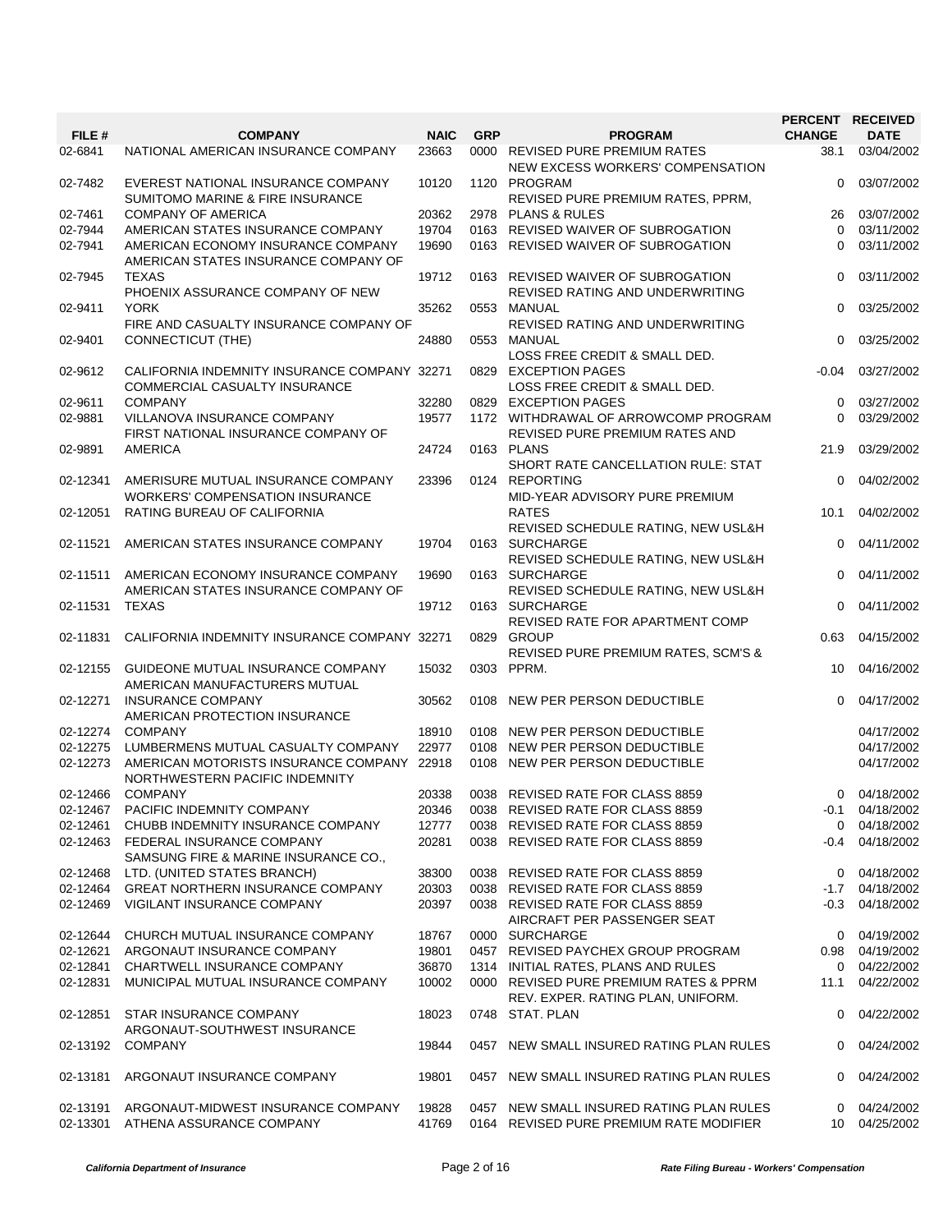|          |                                                                                   |             |            |                                                                       | PERCENT RECEIVED |                   |
|----------|-----------------------------------------------------------------------------------|-------------|------------|-----------------------------------------------------------------------|------------------|-------------------|
| FILE #   | <b>COMPANY</b>                                                                    | <b>NAIC</b> | <b>GRP</b> | <b>PROGRAM</b>                                                        | <b>CHANGE</b>    | <b>DATE</b>       |
| 02-6841  | NATIONAL AMERICAN INSURANCE COMPANY                                               | 23663       |            | 0000 REVISED PURE PREMIUM RATES<br>NEW EXCESS WORKERS' COMPENSATION   | 38.1             | 03/04/2002        |
| 02-7482  | EVEREST NATIONAL INSURANCE COMPANY<br><b>SUMITOMO MARINE &amp; FIRE INSURANCE</b> | 10120       |            | 1120 PROGRAM<br>REVISED PURE PREMIUM RATES, PPRM,                     | $\Omega$         | 03/07/2002        |
| 02-7461  | <b>COMPANY OF AMERICA</b>                                                         | 20362       |            | 2978 PLANS & RULES                                                    | 26               | 03/07/2002        |
| 02-7944  | AMERICAN STATES INSURANCE COMPANY                                                 | 19704       |            | 0163 REVISED WAIVER OF SUBROGATION                                    | $\Omega$         | 03/11/2002        |
| 02-7941  | AMERICAN ECONOMY INSURANCE COMPANY<br>AMERICAN STATES INSURANCE COMPANY OF        | 19690       |            | 0163 REVISED WAIVER OF SUBROGATION                                    | $\Omega$         | 03/11/2002        |
| 02-7945  | <b>TEXAS</b><br>PHOENIX ASSURANCE COMPANY OF NEW                                  | 19712       |            | 0163 REVISED WAIVER OF SUBROGATION<br>REVISED RATING AND UNDERWRITING | 0                | 03/11/2002        |
| 02-9411  | <b>YORK</b><br>FIRE AND CASUALTY INSURANCE COMPANY OF                             | 35262       |            | 0553 MANUAL<br>REVISED RATING AND UNDERWRITING                        | 0                | 03/25/2002        |
| 02-9401  | CONNECTICUT (THE)                                                                 | 24880       |            | 0553 MANUAL<br>LOSS FREE CREDIT & SMALL DED.                          | $\Omega$         | 03/25/2002        |
| 02-9612  | CALIFORNIA INDEMNITY INSURANCE COMPANY 32271<br>COMMERCIAL CASUALTY INSURANCE     |             |            | 0829 EXCEPTION PAGES<br>LOSS FREE CREDIT & SMALL DED.                 | $-0.04$          | 03/27/2002        |
| 02-9611  | <b>COMPANY</b>                                                                    | 32280       |            | 0829 EXCEPTION PAGES                                                  | $\Omega$         | 03/27/2002        |
| 02-9881  | VILLANOVA INSURANCE COMPANY                                                       | 19577       |            | 1172 WITHDRAWAL OF ARROWCOMP PROGRAM                                  | $\Omega$         | 03/29/2002        |
| 02-9891  | FIRST NATIONAL INSURANCE COMPANY OF<br><b>AMERICA</b>                             | 24724       |            | <b>REVISED PURE PREMIUM RATES AND</b><br>0163 PLANS                   | 21.9             | 03/29/2002        |
|          |                                                                                   |             |            | SHORT RATE CANCELLATION RULE: STAT                                    |                  |                   |
| 02-12341 | AMERISURE MUTUAL INSURANCE COMPANY                                                | 23396       |            | 0124 REPORTING                                                        | 0                | 04/02/2002        |
|          | <b>WORKERS' COMPENSATION INSURANCE</b>                                            |             |            | MID-YEAR ADVISORY PURE PREMIUM                                        |                  |                   |
| 02-12051 | <b>RATING BUREAU OF CALIFORNIA</b>                                                |             |            | <b>RATES</b>                                                          | 10.1             | 04/02/2002        |
|          |                                                                                   |             |            | REVISED SCHEDULE RATING, NEW USL&H                                    |                  |                   |
| 02-11521 | AMERICAN STATES INSURANCE COMPANY                                                 | 19704       |            | 0163 SURCHARGE                                                        | $\Omega$         | 04/11/2002        |
|          |                                                                                   |             |            | REVISED SCHEDULE RATING, NEW USL&H                                    |                  |                   |
| 02-11511 | AMERICAN ECONOMY INSURANCE COMPANY                                                | 19690       |            | 0163 SURCHARGE                                                        | $\Omega$         | 04/11/2002        |
|          | AMERICAN STATES INSURANCE COMPANY OF                                              |             |            | REVISED SCHEDULE RATING, NEW USL&H                                    |                  |                   |
| 02-11531 | <b>TEXAS</b>                                                                      | 19712       |            | 0163 SURCHARGE                                                        | $\Omega$         | 04/11/2002        |
|          |                                                                                   |             |            | REVISED RATE FOR APARTMENT COMP                                       |                  |                   |
| 02-11831 | CALIFORNIA INDEMNITY INSURANCE COMPANY 32271                                      |             |            | 0829 GROUP                                                            | 0.63             | 04/15/2002        |
|          |                                                                                   |             |            | <b>REVISED PURE PREMIUM RATES, SCM'S &amp;</b>                        |                  |                   |
| 02-12155 | GUIDEONE MUTUAL INSURANCE COMPANY<br>AMERICAN MANUFACTURERS MUTUAL                | 15032       |            | 0303 PPRM.                                                            | 10               | 04/16/2002        |
| 02-12271 | <b>INSURANCE COMPANY</b>                                                          | 30562       |            | 0108 NEW PER PERSON DEDUCTIBLE                                        | $\Omega$         | 04/17/2002        |
|          | AMERICAN PROTECTION INSURANCE                                                     |             |            |                                                                       |                  |                   |
| 02-12274 | <b>COMPANY</b>                                                                    | 18910       |            | 0108 NEW PER PERSON DEDUCTIBLE                                        |                  | 04/17/2002        |
| 02-12275 | LUMBERMENS MUTUAL CASUALTY COMPANY                                                | 22977       |            | 0108 NEW PER PERSON DEDUCTIBLE                                        |                  | 04/17/2002        |
| 02-12273 | AMERICAN MOTORISTS INSURANCE COMPANY 22918                                        |             |            | 0108 NEW PER PERSON DEDUCTIBLE                                        |                  | 04/17/2002        |
| 02-12466 | NORTHWESTERN PACIFIC INDEMNITY<br><b>COMPANY</b>                                  | 20338       |            | 0038 REVISED RATE FOR CLASS 8859                                      |                  | 0 04/18/2002      |
|          | 02-12467 PACIFIC INDEMNITY COMPANY                                                | 20346       |            | 0038 REVISED RATE FOR CLASS 8859                                      |                  | $-0.1$ 04/18/2002 |
|          | 02-12461 CHUBB INDEMNITY INSURANCE COMPANY                                        | 12777       |            | 0038 REVISED RATE FOR CLASS 8859                                      |                  | 0 04/18/2002      |
|          | 02-12463 FEDERAL INSURANCE COMPANY                                                | 20281       |            | 0038 REVISED RATE FOR CLASS 8859                                      |                  | $-0.4$ 04/18/2002 |
|          | SAMSUNG FIRE & MARINE INSURANCE CO.,                                              |             |            |                                                                       |                  |                   |
| 02-12468 | LTD. (UNITED STATES BRANCH)                                                       | 38300       |            | 0038 REVISED RATE FOR CLASS 8859                                      |                  | 0 04/18/2002      |
|          | 02-12464 GREAT NORTHERN INSURANCE COMPANY                                         | 20303       |            | 0038 REVISED RATE FOR CLASS 8859                                      |                  | $-1.7$ 04/18/2002 |
|          | 02-12469 VIGILANT INSURANCE COMPANY                                               | 20397       |            | 0038 REVISED RATE FOR CLASS 8859                                      | -0.3             | 04/18/2002        |
|          |                                                                                   |             |            | AIRCRAFT PER PASSENGER SEAT                                           |                  |                   |
| 02-12644 | CHURCH MUTUAL INSURANCE COMPANY                                                   | 18767       |            | 0000 SURCHARGE                                                        |                  | 0 04/19/2002      |
| 02-12621 | ARGONAUT INSURANCE COMPANY                                                        | 19801       |            | 0457 REVISED PAYCHEX GROUP PROGRAM                                    |                  | 0.98 04/19/2002   |
| 02-12841 | CHARTWELL INSURANCE COMPANY                                                       | 36870       |            | 1314 INITIAL RATES, PLANS AND RULES                                   |                  | 0 04/22/2002      |
| 02-12831 | MUNICIPAL MUTUAL INSURANCE COMPANY                                                | 10002       |            | 0000 REVISED PURE PREMIUM RATES & PPRM                                | 11.1             | 04/22/2002        |
| 02-12851 | STAR INSURANCE COMPANY                                                            | 18023       |            | REV. EXPER. RATING PLAN, UNIFORM.<br>0748 STAT. PLAN                  |                  | 0 04/22/2002      |
|          | ARGONAUT-SOUTHWEST INSURANCE                                                      |             |            |                                                                       |                  |                   |
| 02-13192 | COMPANY                                                                           | 19844       |            | 0457 NEW SMALL INSURED RATING PLAN RULES                              | 0                | 04/24/2002        |
| 02-13181 | ARGONAUT INSURANCE COMPANY                                                        | 19801       |            | 0457 NEW SMALL INSURED RATING PLAN RULES                              | $\mathbf{0}$     | 04/24/2002        |
| 02-13191 | ARGONAUT-MIDWEST INSURANCE COMPANY                                                | 19828       |            | 0457 NEW SMALL INSURED RATING PLAN RULES                              |                  | 0 04/24/2002      |
| 02-13301 | ATHENA ASSURANCE COMPANY                                                          | 41769       |            | 0164 REVISED PURE PREMIUM RATE MODIFIER                               |                  | 10 04/25/2002     |
|          |                                                                                   |             |            |                                                                       |                  |                   |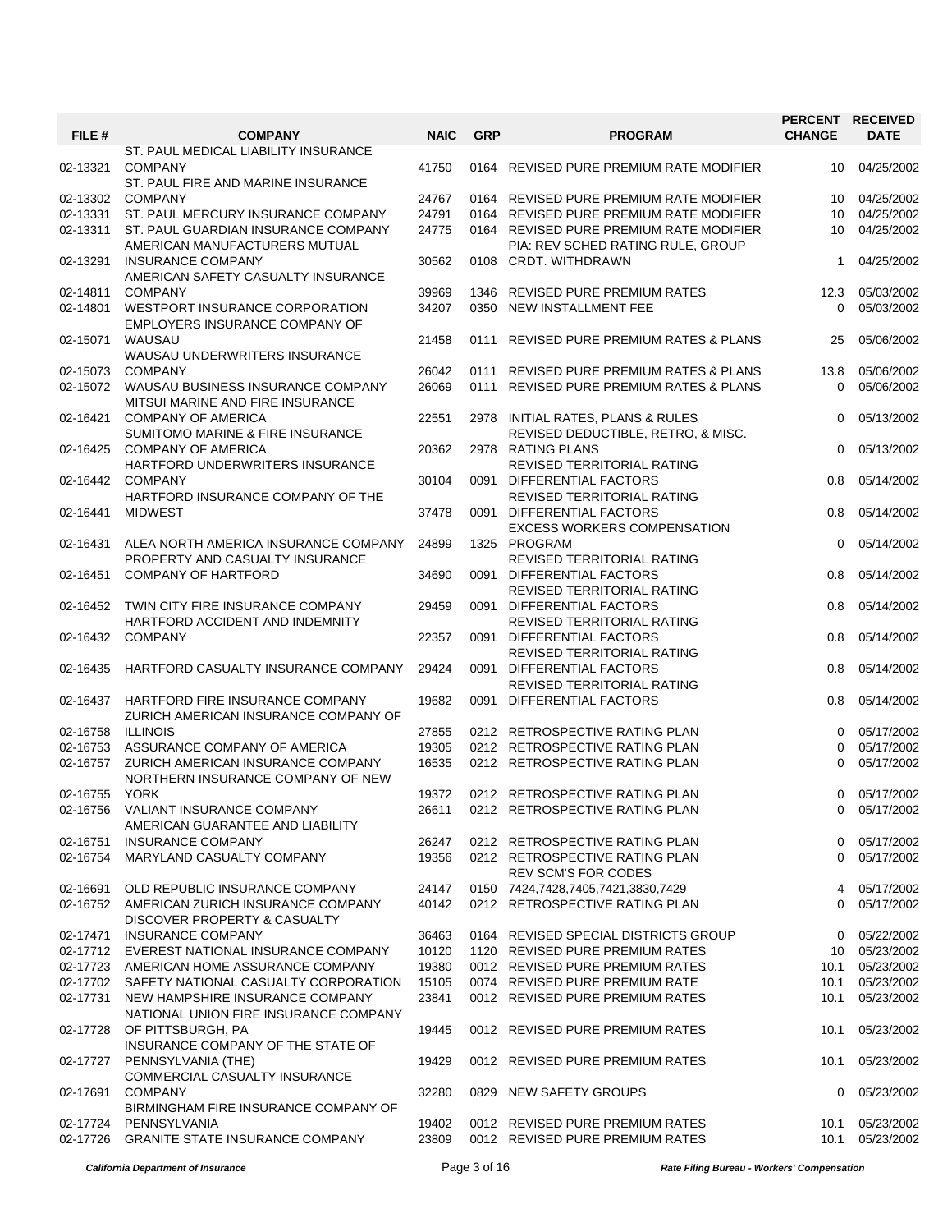| FILE #   | <b>COMPANY</b>                                                           | <b>NAIC</b> | <b>GRP</b> | <b>PROGRAM</b>                                                          | <b>CHANGE</b> | PERCENT RECEIVED<br><b>DATE</b> |
|----------|--------------------------------------------------------------------------|-------------|------------|-------------------------------------------------------------------------|---------------|---------------------------------|
| 02-13321 | ST. PAUL MEDICAL LIABILITY INSURANCE<br><b>COMPANY</b>                   | 41750       |            | 0164 REVISED PURE PREMIUM RATE MODIFIER                                 | 10            | 04/25/2002                      |
| 02-13302 | ST. PAUL FIRE AND MARINE INSURANCE<br><b>COMPANY</b>                     | 24767       |            | 0164 REVISED PURE PREMIUM RATE MODIFIER                                 | 10            | 04/25/2002                      |
| 02-13331 | ST. PAUL MERCURY INSURANCE COMPANY                                       | 24791       |            | 0164 REVISED PURE PREMIUM RATE MODIFIER                                 | 10            | 04/25/2002                      |
| 02-13311 | ST. PAUL GUARDIAN INSURANCE COMPANY                                      | 24775       |            | 0164 REVISED PURE PREMIUM RATE MODIFIER                                 | 10            | 04/25/2002                      |
|          | AMERICAN MANUFACTURERS MUTUAL                                            |             |            | PIA: REV SCHED RATING RULE, GROUP                                       |               |                                 |
| 02-13291 | <b>INSURANCE COMPANY</b><br>AMERICAN SAFETY CASUALTY INSURANCE           | 30562       |            | 0108 CRDT. WITHDRAWN                                                    | 1             | 04/25/2002                      |
| 02-14811 | <b>COMPANY</b>                                                           | 39969       |            | 1346 REVISED PURE PREMIUM RATES                                         | 12.3          | 05/03/2002                      |
| 02-14801 | WESTPORT INSURANCE CORPORATION<br>EMPLOYERS INSURANCE COMPANY OF         | 34207       | 0350       | NEW INSTALLMENT FEE                                                     | $\Omega$      | 05/03/2002                      |
| 02-15071 | WAUSAU<br>WAUSAU UNDERWRITERS INSURANCE                                  | 21458       | 0111       | REVISED PURE PREMIUM RATES & PLANS                                      | 25            | 05/06/2002                      |
| 02-15073 | <b>COMPANY</b>                                                           | 26042       |            | 0111 REVISED PURE PREMIUM RATES & PLANS                                 | 13.8          | 05/06/2002                      |
| 02-15072 | WAUSAU BUSINESS INSURANCE COMPANY<br>MITSUI MARINE AND FIRE INSURANCE    | 26069       |            | 0111 REVISED PURE PREMIUM RATES & PLANS                                 | $\Omega$      | 05/06/2002                      |
| 02-16421 | <b>COMPANY OF AMERICA</b><br>SUMITOMO MARINE & FIRE INSURANCE            | 22551       |            | 2978 INITIAL RATES, PLANS & RULES<br>REVISED DEDUCTIBLE, RETRO, & MISC. | 0             | 05/13/2002                      |
| 02-16425 | <b>COMPANY OF AMERICA</b><br>HARTFORD UNDERWRITERS INSURANCE             | 20362       |            | 2978 RATING PLANS<br>REVISED TERRITORIAL RATING                         | $\Omega$      | 05/13/2002                      |
| 02-16442 | <b>COMPANY</b><br>HARTFORD INSURANCE COMPANY OF THE                      | 30104       | 0091       | DIFFERENTIAL FACTORS<br>REVISED TERRITORIAL RATING                      | 0.8           | 05/14/2002                      |
| 02-16441 | <b>MIDWEST</b>                                                           | 37478       | 0091       | DIFFERENTIAL FACTORS<br><b>EXCESS WORKERS COMPENSATION</b>              | 0.8           | 05/14/2002                      |
| 02-16431 | ALEA NORTH AMERICA INSURANCE COMPANY                                     | 24899       |            | 1325 PROGRAM                                                            | $\Omega$      | 05/14/2002                      |
| 02-16451 | PROPERTY AND CASUALTY INSURANCE<br><b>COMPANY OF HARTFORD</b>            | 34690       | 0091       | REVISED TERRITORIAL RATING<br>DIFFERENTIAL FACTORS                      | 0.8           | 05/14/2002                      |
| 02-16452 | TWIN CITY FIRE INSURANCE COMPANY                                         | 29459       |            | REVISED TERRITORIAL RATING<br>0091 DIFFERENTIAL FACTORS                 | 0.8           | 05/14/2002                      |
| 02-16432 | HARTFORD ACCIDENT AND INDEMNITY<br><b>COMPANY</b>                        | 22357       |            | REVISED TERRITORIAL RATING<br>0091 DIFFERENTIAL FACTORS                 | 0.8           | 05/14/2002                      |
| 02-16435 | HARTFORD CASUALTY INSURANCE COMPANY                                      | 29424       | 0091       | REVISED TERRITORIAL RATING<br>DIFFERENTIAL FACTORS                      | 0.8           | 05/14/2002                      |
| 02-16437 | HARTFORD FIRE INSURANCE COMPANY                                          | 19682       | 0091       | REVISED TERRITORIAL RATING<br>DIFFERENTIAL FACTORS                      | 0.8           | 05/14/2002                      |
|          | ZURICH AMERICAN INSURANCE COMPANY OF                                     |             |            |                                                                         |               |                                 |
| 02-16758 | <b>ILLINOIS</b>                                                          | 27855       |            | 0212 RETROSPECTIVE RATING PLAN                                          | $\Omega$      | 05/17/2002                      |
| 02-16753 | ASSURANCE COMPANY OF AMERICA                                             | 19305       |            | 0212 RETROSPECTIVE RATING PLAN                                          | $\Omega$      | 05/17/2002                      |
| 02-16757 | ZURICH AMERICAN INSURANCE COMPANY<br>NORTHERN INSURANCE COMPANY OF NEW   | 16535       |            | 0212 RETROSPECTIVE RATING PLAN                                          | $\Omega$      | 05/17/2002                      |
| 02-16755 | <b>YORK</b>                                                              | 19372       |            | 0212 RETROSPECTIVE RATING PLAN                                          | $\Omega$      | 05/17/2002                      |
|          | 02-16756 VALIANT INSURANCE COMPANY<br>AMERICAN GUARANTEE AND LIABILITY   | 26611       |            | 0212 RETROSPECTIVE RATING PLAN                                          | $\Omega$      | 05/17/2002                      |
| 02-16751 | <b>INSURANCE COMPANY</b>                                                 | 26247       |            | 0212 RETROSPECTIVE RATING PLAN                                          | $\Omega$      | 05/17/2002                      |
| 02-16754 | MARYLAND CASUALTY COMPANY                                                | 19356       |            | 0212 RETROSPECTIVE RATING PLAN<br><b>REV SCM'S FOR CODES</b>            | $\Omega$      | 05/17/2002                      |
| 02-16691 | OLD REPUBLIC INSURANCE COMPANY                                           | 24147       |            | 0150 7424,7428,7405,7421,3830,7429                                      | 4             | 05/17/2002                      |
| 02-16752 | AMERICAN ZURICH INSURANCE COMPANY<br>DISCOVER PROPERTY & CASUALTY        | 40142       |            | 0212 RETROSPECTIVE RATING PLAN                                          | $\Omega$      | 05/17/2002                      |
| 02-17471 | <b>INSURANCE COMPANY</b>                                                 | 36463       |            | 0164 REVISED SPECIAL DISTRICTS GROUP                                    | 0             | 05/22/2002                      |
|          | 02-17712 EVEREST NATIONAL INSURANCE COMPANY                              | 10120       |            | 1120 REVISED PURE PREMIUM RATES                                         |               | 10 05/23/2002                   |
|          | 02-17723 AMERICAN HOME ASSURANCE COMPANY                                 | 19380       |            | 0012 REVISED PURE PREMIUM RATES                                         | 10.1          | 05/23/2002                      |
|          | 02-17702 SAFETY NATIONAL CASUALTY CORPORATION                            | 15105       |            | 0074 REVISED PURE PREMIUM RATE                                          | 10.1          | 05/23/2002                      |
| 02-17731 | NEW HAMPSHIRE INSURANCE COMPANY<br>NATIONAL UNION FIRE INSURANCE COMPANY | 23841       |            | 0012 REVISED PURE PREMIUM RATES                                         | 10.1          | 05/23/2002                      |
| 02-17728 | OF PITTSBURGH, PA<br>INSURANCE COMPANY OF THE STATE OF                   | 19445       |            | 0012 REVISED PURE PREMIUM RATES                                         | 10.1          | 05/23/2002                      |
| 02-17727 | PENNSYLVANIA (THE)<br>COMMERCIAL CASUALTY INSURANCE                      | 19429       |            | 0012 REVISED PURE PREMIUM RATES                                         | 10.1          | 05/23/2002                      |
| 02-17691 | <b>COMPANY</b><br>BIRMINGHAM FIRE INSURANCE COMPANY OF                   | 32280       |            | 0829 NEW SAFETY GROUPS                                                  | 0             | 05/23/2002                      |
| 02-17724 | PENNSYLVANIA                                                             | 19402       |            | 0012 REVISED PURE PREMIUM RATES                                         | 10.1          | 05/23/2002                      |
|          | 02-17726 GRANITE STATE INSURANCE COMPANY                                 | 23809       |            | 0012 REVISED PURE PREMIUM RATES                                         | 10.1          | 05/23/2002                      |

*California Department of Insurance* Page 3 of 16 *Rate Filing Bureau - Workers' Compensation*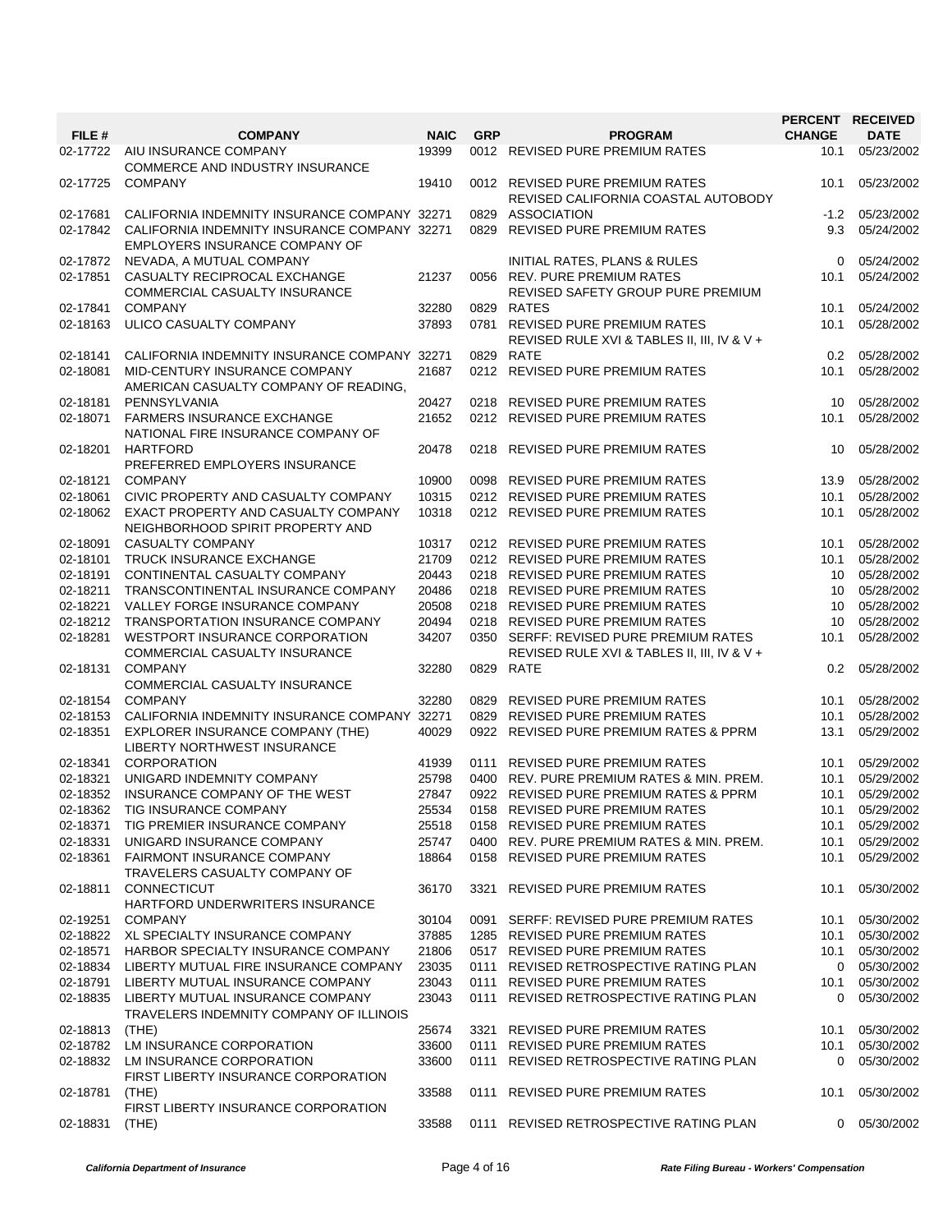|          |                                                                                |             |            |                                                                                       | PERCENT RECEIVED |                 |
|----------|--------------------------------------------------------------------------------|-------------|------------|---------------------------------------------------------------------------------------|------------------|-----------------|
| FILE #   | <b>COMPANY</b>                                                                 | <b>NAIC</b> | <b>GRP</b> | <b>PROGRAM</b>                                                                        | <b>CHANGE</b>    | <b>DATE</b>     |
| 02-17722 | AIU INSURANCE COMPANY<br><b>COMMERCE AND INDUSTRY INSURANCE</b>                | 19399       |            | 0012 REVISED PURE PREMIUM RATES                                                       | 10.1             | 05/23/2002      |
| 02-17725 | <b>COMPANY</b>                                                                 | 19410       |            | 0012 REVISED PURE PREMIUM RATES<br>REVISED CALIFORNIA COASTAL AUTOBODY                | 10.1             | 05/23/2002      |
| 02-17681 | CALIFORNIA INDEMNITY INSURANCE COMPANY 32271                                   |             |            | 0829 ASSOCIATION                                                                      | $-1.2$           | 05/23/2002      |
| 02-17842 | CALIFORNIA INDEMNITY INSURANCE COMPANY 32271<br>EMPLOYERS INSURANCE COMPANY OF |             |            | 0829 REVISED PURE PREMIUM RATES                                                       | 9.3              | 05/24/2002      |
| 02-17872 | NEVADA, A MUTUAL COMPANY                                                       |             |            | INITIAL RATES, PLANS & RULES                                                          | $\Omega$         | 05/24/2002      |
| 02-17851 | CASUALTY RECIPROCAL EXCHANGE<br>COMMERCIAL CASUALTY INSURANCE                  | 21237       |            | 0056 REV. PURE PREMIUM RATES<br>REVISED SAFETY GROUP PURE PREMIUM                     | 10.1             | 05/24/2002      |
| 02-17841 | <b>COMPANY</b>                                                                 | 32280       |            | 0829 RATES                                                                            | 10.1             | 05/24/2002      |
| 02-18163 | ULICO CASUALTY COMPANY                                                         | 37893       |            | 0781 REVISED PURE PREMIUM RATES<br>REVISED RULE XVI & TABLES II, III, IV & V +        | 10.1             | 05/28/2002      |
| 02-18141 | CALIFORNIA INDEMNITY INSURANCE COMPANY 32271                                   |             |            | 0829 RATE                                                                             | 0.2              | 05/28/2002      |
| 02-18081 | MID-CENTURY INSURANCE COMPANY<br>AMERICAN CASUALTY COMPANY OF READING,         | 21687       |            | 0212 REVISED PURE PREMIUM RATES                                                       | 10.1             | 05/28/2002      |
| 02-18181 | PENNSYLVANIA                                                                   | 20427       |            | 0218 REVISED PURE PREMIUM RATES                                                       | 10               | 05/28/2002      |
| 02-18071 | <b>FARMERS INSURANCE EXCHANGE</b><br>NATIONAL FIRE INSURANCE COMPANY OF        | 21652       |            | 0212 REVISED PURE PREMIUM RATES                                                       | 10.1             | 05/28/2002      |
| 02-18201 | <b>HARTFORD</b><br>PREFERRED EMPLOYERS INSURANCE                               | 20478       |            | 0218 REVISED PURE PREMIUM RATES                                                       | 10               | 05/28/2002      |
| 02-18121 | <b>COMPANY</b>                                                                 | 10900       |            | 0098 REVISED PURE PREMIUM RATES                                                       | 13.9             | 05/28/2002      |
| 02-18061 | CIVIC PROPERTY AND CASUALTY COMPANY                                            | 10315       |            | 0212 REVISED PURE PREMIUM RATES                                                       | 10.1             | 05/28/2002      |
| 02-18062 | EXACT PROPERTY AND CASUALTY COMPANY<br>NEIGHBORHOOD SPIRIT PROPERTY AND        | 10318       |            | 0212 REVISED PURE PREMIUM RATES                                                       | 10.1             | 05/28/2002      |
| 02-18091 | CASUALTY COMPANY                                                               | 10317       |            | 0212 REVISED PURE PREMIUM RATES                                                       | 10.1             | 05/28/2002      |
| 02-18101 | <b>TRUCK INSURANCE EXCHANGE</b>                                                | 21709       |            | 0212 REVISED PURE PREMIUM RATES                                                       | 10.1             | 05/28/2002      |
| 02-18191 | CONTINENTAL CASUALTY COMPANY                                                   | 20443       |            | 0218 REVISED PURE PREMIUM RATES                                                       | 10               | 05/28/2002      |
| 02-18211 | TRANSCONTINENTAL INSURANCE COMPANY                                             | 20486       |            | 0218 REVISED PURE PREMIUM RATES                                                       | 10               | 05/28/2002      |
| 02-18221 | VALLEY FORGE INSURANCE COMPANY                                                 | 20508       |            | 0218 REVISED PURE PREMIUM RATES                                                       | 10               | 05/28/2002      |
| 02-18212 | <b>TRANSPORTATION INSURANCE COMPANY</b>                                        | 20494       |            | 0218 REVISED PURE PREMIUM RATES                                                       | 10               | 05/28/2002      |
| 02-18281 | WESTPORT INSURANCE CORPORATION<br>COMMERCIAL CASUALTY INSURANCE                | 34207       |            | 0350 SERFF: REVISED PURE PREMIUM RATES<br>REVISED RULE XVI & TABLES II, III, IV & V + | 10.1             | 05/28/2002      |
| 02-18131 | <b>COMPANY</b><br>COMMERCIAL CASUALTY INSURANCE                                | 32280       |            | 0829 RATE                                                                             | 0.2              | 05/28/2002      |
| 02-18154 | <b>COMPANY</b>                                                                 | 32280       |            | 0829 REVISED PURE PREMIUM RATES                                                       | 10.1             | 05/28/2002      |
| 02-18153 | CALIFORNIA INDEMNITY INSURANCE COMPANY 32271                                   |             |            | 0829 REVISED PURE PREMIUM RATES                                                       | 10.1             | 05/28/2002      |
| 02-18351 | <b>EXPLORER INSURANCE COMPANY (THE)</b><br>LIBERTY NORTHWEST INSURANCE         | 40029       |            | 0922 REVISED PURE PREMIUM RATES & PPRM                                                | 13.1             | 05/29/2002      |
| 02-18341 | <b>CORPORATION</b>                                                             | 41939       |            | 0111 REVISED PURE PREMIUM RATES                                                       | 10.1             | 05/29/2002      |
| 02-18321 | UNIGARD INDEMNITY COMPANY                                                      | 25798       |            | 0400 REV. PURE PREMIUM RATES & MIN. PREM.                                             | 10.1             | 05/29/2002      |
| 02-18352 | INSURANCE COMPANY OF THE WEST                                                  | 27847       |            | 0922 REVISED PURE PREMIUM RATES & PPRM                                                | 10.1             | 05/29/2002      |
|          | 02-18362 TIG INSURANCE COMPANY                                                 | 25534       |            | 0158 REVISED PURE PREMIUM RATES                                                       | 10.1             | 05/29/2002      |
|          | 02-18371 TIG PREMIER INSURANCE COMPANY                                         | 25518       |            | 0158 REVISED PURE PREMIUM RATES                                                       |                  | 10.1 05/29/2002 |
| 02-18331 | UNIGARD INSURANCE COMPANY                                                      | 25747       |            | 0400 REV. PURE PREMIUM RATES & MIN. PREM.                                             | 10.1             | 05/29/2002      |
| 02-18361 | <b>FAIRMONT INSURANCE COMPANY</b><br>TRAVELERS CASUALTY COMPANY OF             | 18864       |            | 0158 REVISED PURE PREMIUM RATES                                                       | 10.1             | 05/29/2002      |
| 02-18811 | <b>CONNECTICUT</b><br>HARTFORD UNDERWRITERS INSURANCE                          | 36170       |            | 3321 REVISED PURE PREMIUM RATES                                                       | 10.1             | 05/30/2002      |
| 02-19251 | <b>COMPANY</b>                                                                 | 30104       |            | 0091 SERFF: REVISED PURE PREMIUM RATES                                                | 10.1             | 05/30/2002      |
| 02-18822 | XL SPECIALTY INSURANCE COMPANY                                                 | 37885       |            | 1285 REVISED PURE PREMIUM RATES                                                       | 10.1             | 05/30/2002      |
| 02-18571 | HARBOR SPECIALTY INSURANCE COMPANY                                             | 21806       |            | 0517 REVISED PURE PREMIUM RATES                                                       | 10.1             | 05/30/2002      |
| 02-18834 | LIBERTY MUTUAL FIRE INSURANCE COMPANY                                          | 23035       |            | 0111 REVISED RETROSPECTIVE RATING PLAN                                                | 0                | 05/30/2002      |
| 02-18791 | LIBERTY MUTUAL INSURANCE COMPANY                                               | 23043       |            | 0111 REVISED PURE PREMIUM RATES                                                       | 10.1             | 05/30/2002      |
| 02-18835 | LIBERTY MUTUAL INSURANCE COMPANY<br>TRAVELERS INDEMNITY COMPANY OF ILLINOIS    | 23043       |            | 0111 REVISED RETROSPECTIVE RATING PLAN                                                | $\mathbf{0}$     | 05/30/2002      |
| 02-18813 | (THE)                                                                          | 25674       |            | 3321 REVISED PURE PREMIUM RATES                                                       | 10.1             | 05/30/2002      |
| 02-18782 | LM INSURANCE CORPORATION                                                       | 33600       |            | 0111 REVISED PURE PREMIUM RATES                                                       | 10.1             | 05/30/2002      |
| 02-18832 | LM INSURANCE CORPORATION<br>FIRST LIBERTY INSURANCE CORPORATION                | 33600       |            | 0111 REVISED RETROSPECTIVE RATING PLAN                                                | $\Omega$         | 05/30/2002      |
| 02-18781 | (THE)<br>FIRST LIBERTY INSURANCE CORPORATION                                   | 33588       |            | 0111 REVISED PURE PREMIUM RATES                                                       | 10.1             | 05/30/2002      |
| 02-18831 | (THE)                                                                          | 33588       |            | 0111 REVISED RETROSPECTIVE RATING PLAN                                                | 0                | 05/30/2002      |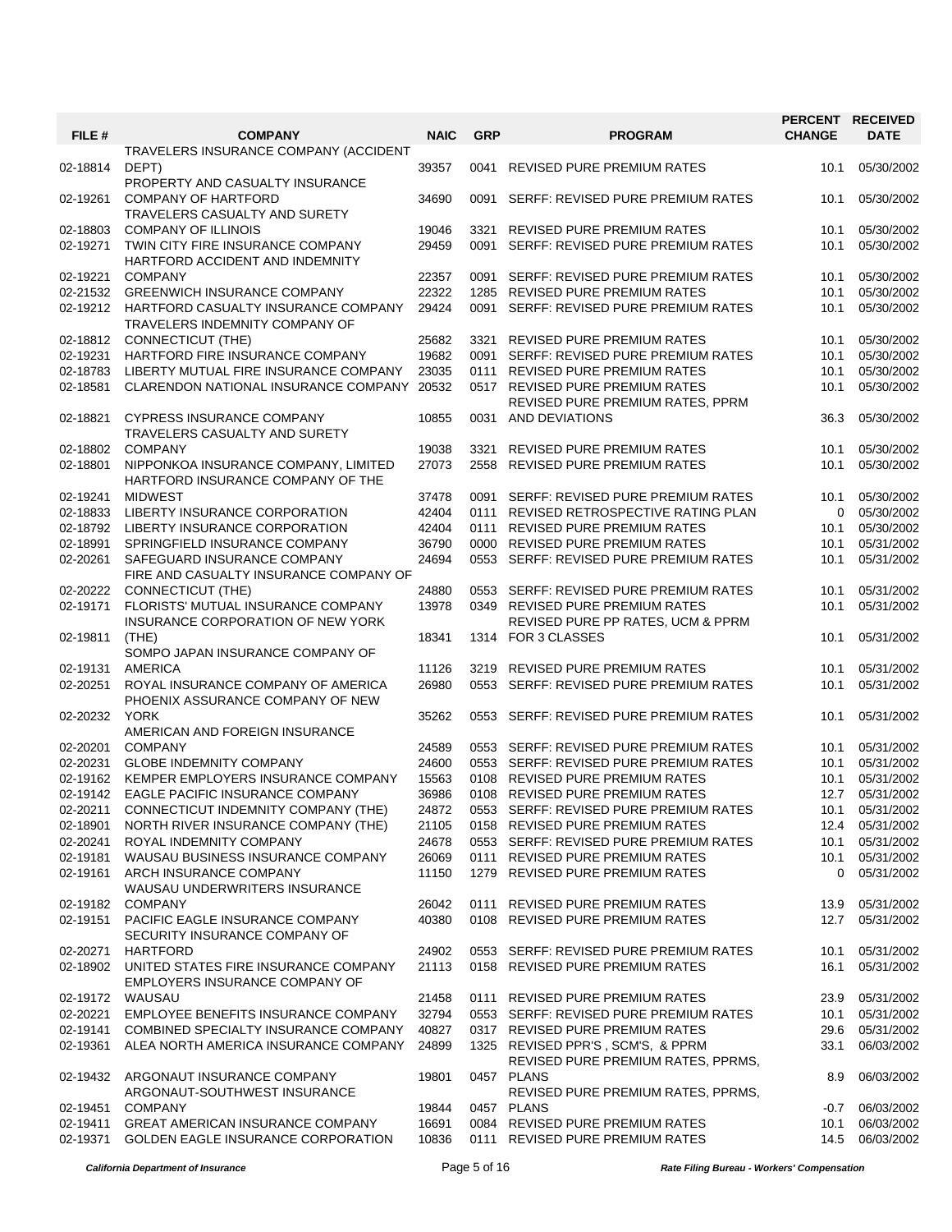| FILE #               | <b>COMPANY</b>                                                            | <b>NAIC</b>    | <b>GRP</b> | <b>PROGRAM</b>                                                            | <b>PERCENT</b><br><b>CHANGE</b> | <b>RECEIVED</b><br><b>DATE</b> |
|----------------------|---------------------------------------------------------------------------|----------------|------------|---------------------------------------------------------------------------|---------------------------------|--------------------------------|
| 02-18814             | TRAVELERS INSURANCE COMPANY (ACCIDENT<br>DEPT)                            | 39357          | 0041       | <b>REVISED PURE PREMIUM RATES</b>                                         | 10.1                            | 05/30/2002                     |
| 02-19261             | PROPERTY AND CASUALTY INSURANCE<br><b>COMPANY OF HARTFORD</b>             | 34690          | 0091       | SERFF: REVISED PURE PREMIUM RATES                                         | 10.1                            | 05/30/2002                     |
| 02-18803             | TRAVELERS CASUALTY AND SURETY<br><b>COMPANY OF ILLINOIS</b>               | 19046          | 3321       | <b>REVISED PURE PREMIUM RATES</b>                                         | 10.1                            | 05/30/2002                     |
| 02-19271             | TWIN CITY FIRE INSURANCE COMPANY<br>HARTFORD ACCIDENT AND INDEMNITY       | 29459          | 0091       | SERFF: REVISED PURE PREMIUM RATES                                         | 10.1                            | 05/30/2002                     |
| 02-19221             | <b>COMPANY</b>                                                            | 22357          | 0091       | SERFF: REVISED PURE PREMIUM RATES                                         | 10.1                            | 05/30/2002                     |
| 02-21532             | <b>GREENWICH INSURANCE COMPANY</b>                                        | 22322          | 1285       | <b>REVISED PURE PREMIUM RATES</b>                                         | 10.1                            | 05/30/2002                     |
| 02-19212             | HARTFORD CASUALTY INSURANCE COMPANY<br>TRAVELERS INDEMNITY COMPANY OF     | 29424          | 0091       | SERFF: REVISED PURE PREMIUM RATES                                         | 10.1                            | 05/30/2002                     |
| 02-18812             | <b>CONNECTICUT (THE)</b>                                                  | 25682          | 3321       | <b>REVISED PURE PREMIUM RATES</b>                                         | 10.1                            | 05/30/2002                     |
| 02-19231             | HARTFORD FIRE INSURANCE COMPANY                                           | 19682          | 0091       | SERFF: REVISED PURE PREMIUM RATES                                         | 10.1                            | 05/30/2002                     |
| 02-18783             | LIBERTY MUTUAL FIRE INSURANCE COMPANY                                     | 23035          | 0111       | REVISED PURE PREMIUM RATES                                                | 10.1                            | 05/30/2002                     |
| 02-18581             | CLARENDON NATIONAL INSURANCE COMPANY 20532                                |                |            | 0517 REVISED PURE PREMIUM RATES<br>REVISED PURE PREMIUM RATES, PPRM       | 10.1                            | 05/30/2002                     |
| 02-18821             | <b>CYPRESS INSURANCE COMPANY</b><br>TRAVELERS CASUALTY AND SURETY         | 10855          |            | 0031 AND DEVIATIONS                                                       | 36.3                            | 05/30/2002                     |
| 02-18802             | <b>COMPANY</b>                                                            | 19038          | 3321       | <b>REVISED PURE PREMIUM RATES</b>                                         | 10.1                            | 05/30/2002                     |
| 02-18801             | NIPPONKOA INSURANCE COMPANY, LIMITED<br>HARTFORD INSURANCE COMPANY OF THE | 27073          | 2558       | <b>REVISED PURE PREMIUM RATES</b>                                         | 10.1                            | 05/30/2002                     |
| 02-19241             | <b>MIDWEST</b>                                                            | 37478          | 0091       | SERFF: REVISED PURE PREMIUM RATES                                         | 10.1                            | 05/30/2002                     |
| 02-18833             | LIBERTY INSURANCE CORPORATION                                             | 42404          |            | 0111 REVISED RETROSPECTIVE RATING PLAN                                    | 0                               | 05/30/2002                     |
| 02-18792             | LIBERTY INSURANCE CORPORATION                                             | 42404          | 0111       | <b>REVISED PURE PREMIUM RATES</b>                                         | 10.1                            | 05/30/2002                     |
| 02-18991             | SPRINGFIELD INSURANCE COMPANY                                             | 36790          |            | 0000 REVISED PURE PREMIUM RATES                                           | 10.1                            | 05/31/2002                     |
| 02-20261             | SAFEGUARD INSURANCE COMPANY<br>FIRE AND CASUALTY INSURANCE COMPANY OF     | 24694          |            | 0553 SERFF: REVISED PURE PREMIUM RATES                                    | 10.1                            | 05/31/2002                     |
| 02-20222             | CONNECTICUT (THE)                                                         | 24880          | 0553       | SERFF: REVISED PURE PREMIUM RATES                                         | 10.1                            | 05/31/2002                     |
| 02-19171             | FLORISTS' MUTUAL INSURANCE COMPANY                                        | 13978          | 0349       | <b>REVISED PURE PREMIUM RATES</b>                                         | 10.1                            | 05/31/2002                     |
|                      | INSURANCE CORPORATION OF NEW YORK                                         |                |            | REVISED PURE PP RATES, UCM & PPRM                                         |                                 |                                |
| 02-19811             | (THE)<br>SOMPO JAPAN INSURANCE COMPANY OF                                 | 18341          |            | 1314 FOR 3 CLASSES                                                        | 10.1                            | 05/31/2002                     |
| 02-19131             | <b>AMERICA</b>                                                            | 11126          | 3219       | <b>REVISED PURE PREMIUM RATES</b>                                         | 10.1                            | 05/31/2002                     |
| 02-20251             | ROYAL INSURANCE COMPANY OF AMERICA<br>PHOENIX ASSURANCE COMPANY OF NEW    | 26980          |            | 0553 SERFF: REVISED PURE PREMIUM RATES                                    | 10.1                            | 05/31/2002                     |
| 02-20232             | <b>YORK</b><br>AMERICAN AND FOREIGN INSURANCE                             | 35262          | 0553       | SERFF: REVISED PURE PREMIUM RATES                                         | 10.1                            | 05/31/2002                     |
| 02-20201             | <b>COMPANY</b>                                                            | 24589          | 0553       | SERFF: REVISED PURE PREMIUM RATES                                         | 10.1                            | 05/31/2002                     |
| 02-20231             | <b>GLOBE INDEMNITY COMPANY</b>                                            | 24600          | 0553       | SERFF: REVISED PURE PREMIUM RATES                                         | 10.1                            | 05/31/2002                     |
| 02-19162             | KEMPER EMPLOYERS INSURANCE COMPANY                                        | 15563          | 0108       | <b>REVISED PURE PREMIUM RATES</b>                                         | 10.1                            | 05/31/2002                     |
| 02-19142             | EAGLE PACIFIC INSURANCE COMPANY                                           | 36986          | 0108       | REVISED PURE PREMIUM RATES                                                | 12.7                            | 05/31/2002                     |
| 02-20211             | CONNECTICUT INDEMNITY COMPANY (THE)                                       | 24872          |            | 0553 SERFF: REVISED PURE PREMIUM RATES                                    | 10.1                            | 05/31/2002                     |
| 02-18901<br>02-20241 | NORTH RIVER INSURANCE COMPANY (THE)                                       | 21105          |            | 0158 REVISED PURE PREMIUM RATES                                           | 12.4                            | 05/31/2002                     |
|                      | ROYAL INDEMNITY COMPANY<br>WAUSAU BUSINESS INSURANCE COMPANY              | 24678          |            | 0553 SERFF: REVISED PURE PREMIUM RATES<br>0111 REVISED PURE PREMIUM RATES | 10.1                            | 05/31/2002                     |
| 02-19181<br>02-19161 | ARCH INSURANCE COMPANY<br>WAUSAU UNDERWRITERS INSURANCE                   | 26069<br>11150 |            | 1279 REVISED PURE PREMIUM RATES                                           | 10.1<br>$\Omega$                | 05/31/2002<br>05/31/2002       |
| 02-19182             | <b>COMPANY</b>                                                            | 26042          |            | 0111 REVISED PURE PREMIUM RATES                                           | 13.9                            | 05/31/2002                     |
| 02-19151             | PACIFIC EAGLE INSURANCE COMPANY<br>SECURITY INSURANCE COMPANY OF          | 40380          |            | 0108 REVISED PURE PREMIUM RATES                                           | 12.7                            | 05/31/2002                     |
| 02-20271             | <b>HARTFORD</b>                                                           | 24902          |            | 0553 SERFF: REVISED PURE PREMIUM RATES                                    | 10.1                            | 05/31/2002                     |
| 02-18902             | UNITED STATES FIRE INSURANCE COMPANY<br>EMPLOYERS INSURANCE COMPANY OF    | 21113          |            | 0158 REVISED PURE PREMIUM RATES                                           | 16.1                            | 05/31/2002                     |
| 02-19172             | WAUSAU                                                                    | 21458          |            | 0111 REVISED PURE PREMIUM RATES                                           | 23.9                            | 05/31/2002                     |
| 02-20221             | EMPLOYEE BENEFITS INSURANCE COMPANY                                       | 32794          |            | 0553 SERFF: REVISED PURE PREMIUM RATES                                    | 10.1                            | 05/31/2002                     |
| 02-19141             | COMBINED SPECIALTY INSURANCE COMPANY                                      | 40827          |            | 0317 REVISED PURE PREMIUM RATES                                           | 29.6                            | 05/31/2002                     |
| 02-19361             | ALEA NORTH AMERICA INSURANCE COMPANY                                      | 24899          |            | 1325 REVISED PPR'S, SCM'S, & PPRM<br>REVISED PURE PREMIUM RATES, PPRMS,   | 33.1                            | 06/03/2002                     |
|                      | 02-19432 ARGONAUT INSURANCE COMPANY<br>ARGONAUT-SOUTHWEST INSURANCE       | 19801          |            | 0457 PLANS<br>REVISED PURE PREMIUM RATES, PPRMS,                          | 8.9                             | 06/03/2002                     |
| 02-19451             | <b>COMPANY</b>                                                            | 19844          |            | 0457 PLANS                                                                | $-0.7$                          | 06/03/2002                     |
| 02-19411             | <b>GREAT AMERICAN INSURANCE COMPANY</b>                                   | 16691          |            | 0084 REVISED PURE PREMIUM RATES                                           | 10.1                            | 06/03/2002                     |
| 02-19371             | <b>GOLDEN EAGLE INSURANCE CORPORATION</b>                                 | 10836          |            | 0111 REVISED PURE PREMIUM RATES                                           | 14.5                            | 06/03/2002                     |

*California Department of Insurance* Page 5 of 16 *Rate Filing Bureau - Workers' Compensation*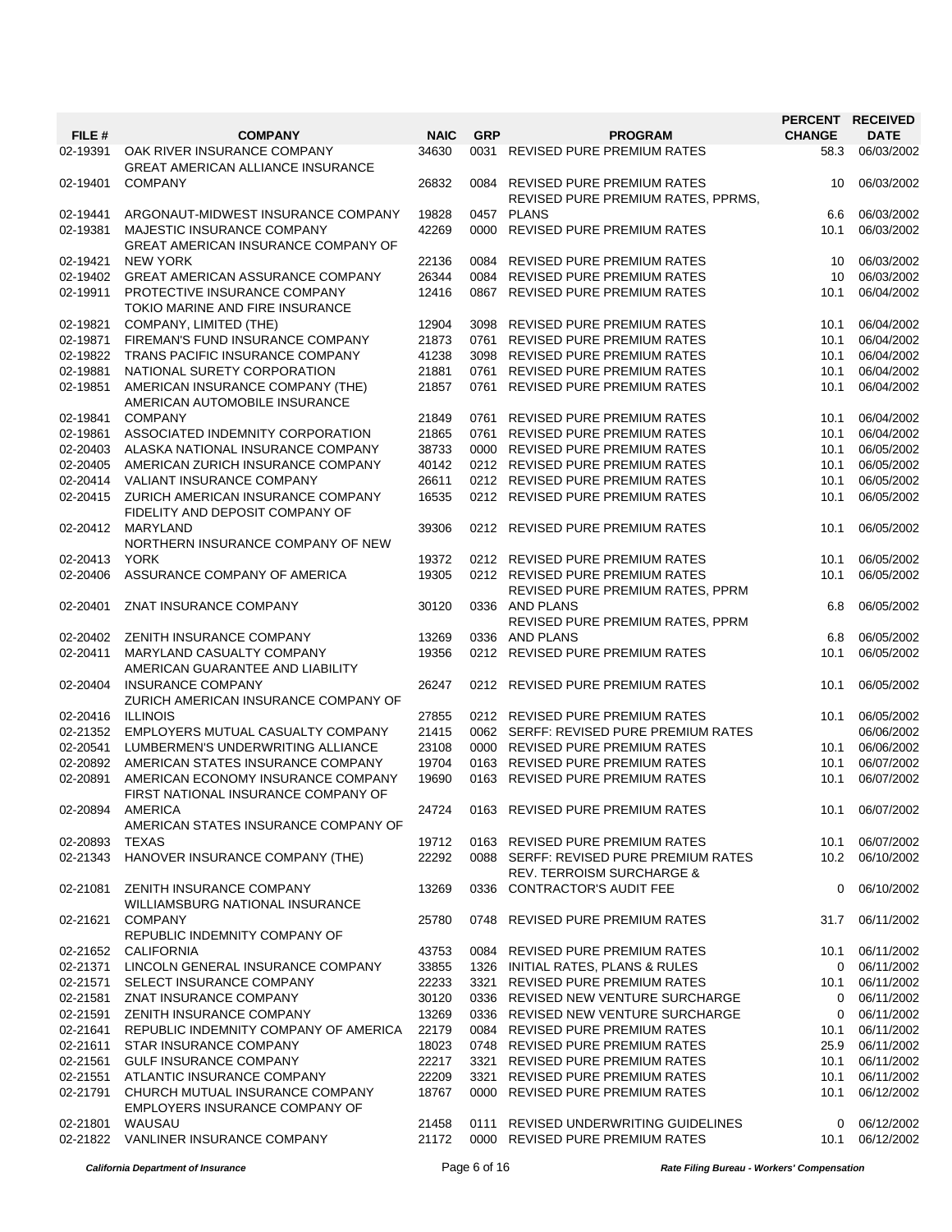|          |                                                                           |             |            |                                                                                | PERCENT RECEIVED |             |
|----------|---------------------------------------------------------------------------|-------------|------------|--------------------------------------------------------------------------------|------------------|-------------|
| FILE #   | <b>COMPANY</b>                                                            | <b>NAIC</b> | <b>GRP</b> | <b>PROGRAM</b>                                                                 | <b>CHANGE</b>    | <b>DATE</b> |
| 02-19391 | OAK RIVER INSURANCE COMPANY<br><b>GREAT AMERICAN ALLIANCE INSURANCE</b>   | 34630       |            | 0031 REVISED PURE PREMIUM RATES                                                | 58.3             | 06/03/2002  |
| 02-19401 | <b>COMPANY</b>                                                            | 26832       |            | 0084 REVISED PURE PREMIUM RATES<br>REVISED PURE PREMIUM RATES, PPRMS,          | 10               | 06/03/2002  |
| 02-19441 | ARGONAUT-MIDWEST INSURANCE COMPANY                                        | 19828       |            | 0457 PLANS                                                                     | 6.6              | 06/03/2002  |
| 02-19381 | MAJESTIC INSURANCE COMPANY<br><b>GREAT AMERICAN INSURANCE COMPANY OF</b>  | 42269       |            | 0000 REVISED PURE PREMIUM RATES                                                | 10.1             | 06/03/2002  |
| 02-19421 | <b>NEW YORK</b>                                                           | 22136       |            | 0084 REVISED PURE PREMIUM RATES                                                | 10               | 06/03/2002  |
| 02-19402 | <b>GREAT AMERICAN ASSURANCE COMPANY</b>                                   | 26344       |            | 0084 REVISED PURE PREMIUM RATES                                                | 10               | 06/03/2002  |
| 02-19911 | PROTECTIVE INSURANCE COMPANY<br>TOKIO MARINE AND FIRE INSURANCE           | 12416       |            | 0867 REVISED PURE PREMIUM RATES                                                | 10.1             | 06/04/2002  |
| 02-19821 | COMPANY, LIMITED (THE)                                                    | 12904       |            | 3098 REVISED PURE PREMIUM RATES                                                | 10.1             | 06/04/2002  |
| 02-19871 | FIREMAN'S FUND INSURANCE COMPANY                                          | 21873       |            | 0761 REVISED PURE PREMIUM RATES                                                | 10.1             | 06/04/2002  |
| 02-19822 | TRANS PACIFIC INSURANCE COMPANY                                           | 41238       |            | 3098 REVISED PURE PREMIUM RATES                                                | 10.1             | 06/04/2002  |
| 02-19881 | NATIONAL SURETY CORPORATION                                               | 21881       |            | 0761 REVISED PURE PREMIUM RATES                                                | 10.1             | 06/04/2002  |
|          |                                                                           |             |            |                                                                                |                  |             |
| 02-19851 | AMERICAN INSURANCE COMPANY (THE)<br>AMERICAN AUTOMOBILE INSURANCE         | 21857       |            | 0761 REVISED PURE PREMIUM RATES                                                | 10.1             | 06/04/2002  |
| 02-19841 | <b>COMPANY</b>                                                            | 21849       |            | 0761 REVISED PURE PREMIUM RATES                                                | 10.1             | 06/04/2002  |
| 02-19861 | ASSOCIATED INDEMNITY CORPORATION                                          | 21865       |            | 0761 REVISED PURE PREMIUM RATES                                                | 10.1             | 06/04/2002  |
| 02-20403 | ALASKA NATIONAL INSURANCE COMPANY                                         | 38733       |            | 0000 REVISED PURE PREMIUM RATES                                                | 10.1             | 06/05/2002  |
| 02-20405 | AMERICAN ZURICH INSURANCE COMPANY                                         | 40142       |            | 0212 REVISED PURE PREMIUM RATES                                                | 10.1             | 06/05/2002  |
| 02-20414 | <b>VALIANT INSURANCE COMPANY</b>                                          | 26611       |            | 0212 REVISED PURE PREMIUM RATES                                                | 10.1             | 06/05/2002  |
| 02-20415 | ZURICH AMERICAN INSURANCE COMPANY<br>FIDELITY AND DEPOSIT COMPANY OF      | 16535       |            | 0212 REVISED PURE PREMIUM RATES                                                | 10.1             | 06/05/2002  |
| 02-20412 | MARYLAND<br>NORTHERN INSURANCE COMPANY OF NEW                             | 39306       |            | 0212 REVISED PURE PREMIUM RATES                                                | 10.1             | 06/05/2002  |
| 02-20413 | YORK                                                                      | 19372       |            | 0212 REVISED PURE PREMIUM RATES                                                | 10.1             | 06/05/2002  |
| 02-20406 | ASSURANCE COMPANY OF AMERICA                                              | 19305       |            | 0212 REVISED PURE PREMIUM RATES                                                | 10.1             | 06/05/2002  |
|          |                                                                           |             |            | REVISED PURE PREMIUM RATES, PPRM                                               |                  |             |
| 02-20401 | ZNAT INSURANCE COMPANY                                                    | 30120       |            | 0336 AND PLANS<br>REVISED PURE PREMIUM RATES, PPRM                             | 6.8              | 06/05/2002  |
| 02-20402 | ZENITH INSURANCE COMPANY                                                  | 13269       |            | 0336 AND PLANS                                                                 | 6.8              | 06/05/2002  |
|          |                                                                           |             |            |                                                                                |                  |             |
| 02-20411 | MARYLAND CASUALTY COMPANY<br>AMERICAN GUARANTEE AND LIABILITY             | 19356       |            | 0212 REVISED PURE PREMIUM RATES                                                | 10.1             | 06/05/2002  |
| 02-20404 | <b>INSURANCE COMPANY</b><br>ZURICH AMERICAN INSURANCE COMPANY OF          | 26247       |            | 0212 REVISED PURE PREMIUM RATES                                                | 10.1             | 06/05/2002  |
| 02-20416 | <b>ILLINOIS</b>                                                           | 27855       |            | 0212 REVISED PURE PREMIUM RATES                                                | 10.1             | 06/05/2002  |
| 02-21352 | EMPLOYERS MUTUAL CASUALTY COMPANY                                         | 21415       |            | 0062 SERFF: REVISED PURE PREMIUM RATES                                         |                  | 06/06/2002  |
| 02-20541 | LUMBERMEN'S UNDERWRITING ALLIANCE                                         | 23108       |            | 0000 REVISED PURE PREMIUM RATES                                                | 10.1             | 06/06/2002  |
| 02-20892 | AMERICAN STATES INSURANCE COMPANY                                         | 19704       |            | 0163 REVISED PURE PREMIUM RATES                                                | 10.1             | 06/07/2002  |
| 02-20891 | AMERICAN ECONOMY INSURANCE COMPANY<br>FIRST NATIONAL INSURANCE COMPANY OF | 19690       |            | 0163 REVISED PURE PREMIUM RATES                                                | 10.1             | 06/07/2002  |
| 02-20894 | <b>AMERICA</b><br>AMERICAN STATES INSURANCE COMPANY OF                    | 24724       |            | 0163 REVISED PURE PREMIUM RATES                                                | 10.1             | 06/07/2002  |
| 02-20893 | TEXAS                                                                     | 19712       |            | 0163 REVISED PURE PREMIUM RATES                                                | 10.1             | 06/07/2002  |
| 02-21343 | HANOVER INSURANCE COMPANY (THE)                                           | 22292       |            | 0088 SERFF: REVISED PURE PREMIUM RATES<br><b>REV. TERROISM SURCHARGE &amp;</b> | 10.2             | 06/10/2002  |
| 02-21081 | ZENITH INSURANCE COMPANY<br>WILLIAMSBURG NATIONAL INSURANCE               | 13269       |            | 0336 CONTRACTOR'S AUDIT FEE                                                    | 0                | 06/10/2002  |
| 02-21621 | <b>COMPANY</b><br>REPUBLIC INDEMNITY COMPANY OF                           | 25780       |            | 0748 REVISED PURE PREMIUM RATES                                                | 31.7             | 06/11/2002  |
| 02-21652 | CALIFORNIA                                                                | 43753       |            | 0084 REVISED PURE PREMIUM RATES                                                | 10.1             | 06/11/2002  |
| 02-21371 | LINCOLN GENERAL INSURANCE COMPANY                                         | 33855       |            | 1326 INITIAL RATES, PLANS & RULES                                              | 0                | 06/11/2002  |
| 02-21571 | SELECT INSURANCE COMPANY                                                  | 22233       |            | 3321 REVISED PURE PREMIUM RATES                                                | 10.1             | 06/11/2002  |
|          |                                                                           |             |            |                                                                                |                  |             |
| 02-21581 | ZNAT INSURANCE COMPANY                                                    | 30120       |            | 0336 REVISED NEW VENTURE SURCHARGE                                             | $\mathbf{0}$     | 06/11/2002  |
| 02-21591 | ZENITH INSURANCE COMPANY                                                  | 13269       |            | 0336 REVISED NEW VENTURE SURCHARGE                                             | 0                | 06/11/2002  |
| 02-21641 | REPUBLIC INDEMNITY COMPANY OF AMERICA                                     | 22179       |            | 0084 REVISED PURE PREMIUM RATES                                                | 10.1             | 06/11/2002  |
| 02-21611 | STAR INSURANCE COMPANY                                                    | 18023       |            | 0748 REVISED PURE PREMIUM RATES                                                | 25.9             | 06/11/2002  |
| 02-21561 | <b>GULF INSURANCE COMPANY</b>                                             | 22217       |            | 3321 REVISED PURE PREMIUM RATES                                                | 10.1             | 06/11/2002  |
| 02-21551 | ATLANTIC INSURANCE COMPANY                                                | 22209       |            | 3321 REVISED PURE PREMIUM RATES                                                | 10.1             | 06/11/2002  |
| 02-21791 | CHURCH MUTUAL INSURANCE COMPANY<br>EMPLOYERS INSURANCE COMPANY OF         | 18767       |            | 0000 REVISED PURE PREMIUM RATES                                                | 10.1             | 06/12/2002  |
| 02-21801 | WAUSAU                                                                    | 21458       |            | 0111 REVISED UNDERWRITING GUIDELINES                                           | $\mathbf{0}$     | 06/12/2002  |
| 02-21822 | VANLINER INSURANCE COMPANY                                                | 21172       |            | 0000 REVISED PURE PREMIUM RATES                                                | 10.1             | 06/12/2002  |

*California Department of Insurance* Page 6 of 16 *Rate Filing Bureau - Workers' Compensation*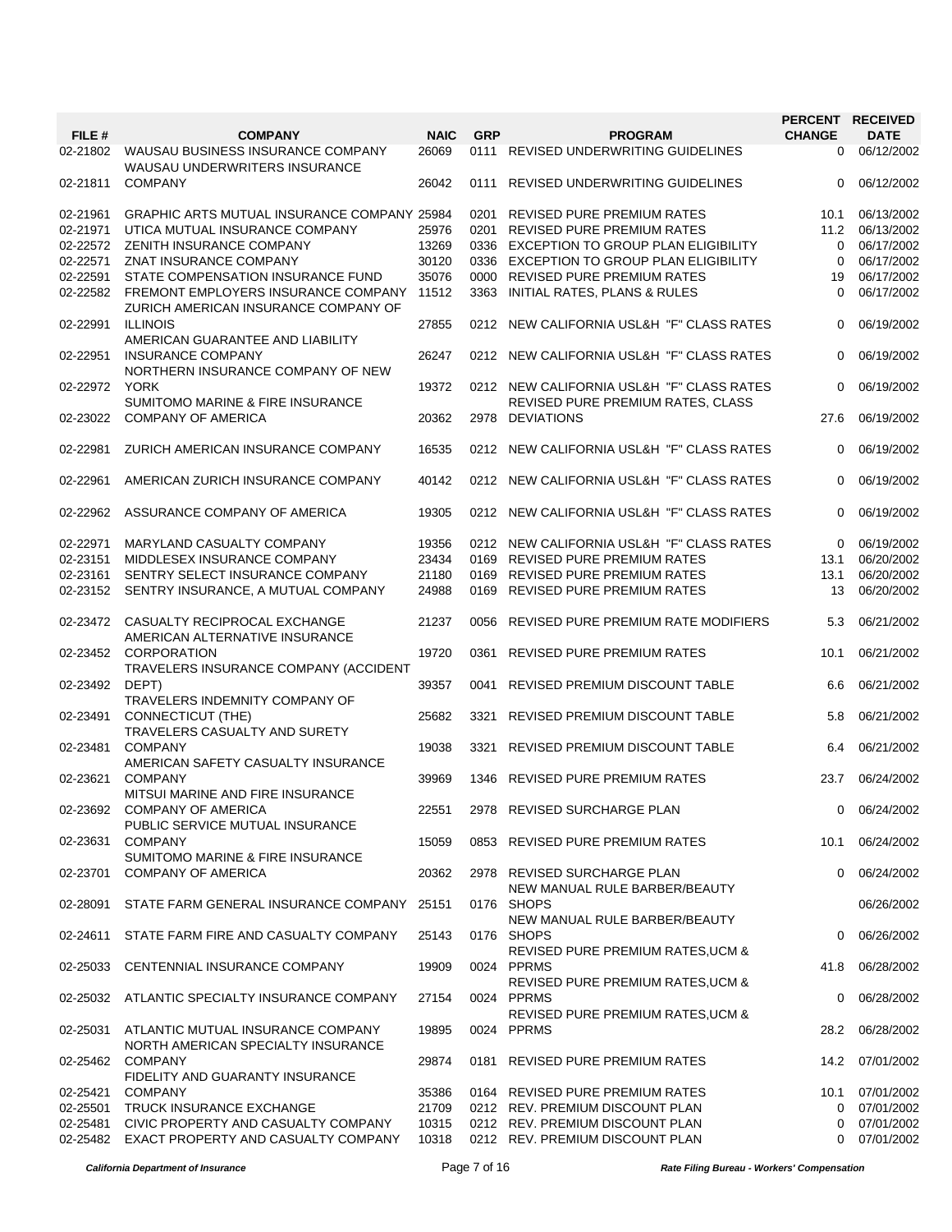|          |                                                                                   |             |            |                                                                                | PERCENT RECEIVED |             |
|----------|-----------------------------------------------------------------------------------|-------------|------------|--------------------------------------------------------------------------------|------------------|-------------|
| FILE #   | <b>COMPANY</b>                                                                    | <b>NAIC</b> | <b>GRP</b> | <b>PROGRAM</b>                                                                 | <b>CHANGE</b>    | <b>DATE</b> |
| 02-21802 | WAUSAU BUSINESS INSURANCE COMPANY<br><b>WAUSAU UNDERWRITERS INSURANCE</b>         | 26069       |            | 0111 REVISED UNDERWRITING GUIDELINES                                           | $\mathbf{0}$     | 06/12/2002  |
| 02-21811 | <b>COMPANY</b>                                                                    | 26042       |            | 0111 REVISED UNDERWRITING GUIDELINES                                           | 0                | 06/12/2002  |
| 02-21961 | <b>GRAPHIC ARTS MUTUAL INSURANCE COMPANY 25984</b>                                |             | 0201       | REVISED PURE PREMIUM RATES                                                     | 10.1             | 06/13/2002  |
| 02-21971 | UTICA MUTUAL INSURANCE COMPANY                                                    | 25976       | 0201       | REVISED PURE PREMIUM RATES                                                     | 11.2             | 06/13/2002  |
| 02-22572 | ZENITH INSURANCE COMPANY                                                          | 13269       |            | 0336 EXCEPTION TO GROUP PLAN ELIGIBILITY                                       | $\Omega$         | 06/17/2002  |
| 02-22571 |                                                                                   |             |            |                                                                                |                  |             |
|          | ZNAT INSURANCE COMPANY                                                            | 30120       |            | 0336 EXCEPTION TO GROUP PLAN ELIGIBILITY                                       | $\Omega$         | 06/17/2002  |
| 02-22591 | STATE COMPENSATION INSURANCE FUND                                                 | 35076       |            | 0000 REVISED PURE PREMIUM RATES                                                | 19               | 06/17/2002  |
| 02-22582 | FREMONT EMPLOYERS INSURANCE COMPANY 11512<br>ZURICH AMERICAN INSURANCE COMPANY OF |             |            | 3363 INITIAL RATES, PLANS & RULES                                              | $\Omega$         | 06/17/2002  |
| 02-22991 | <b>ILLINOIS</b><br>AMERICAN GUARANTEE AND LIABILITY                               | 27855       |            | 0212 NEW CALIFORNIA USL&H "F" CLASS RATES                                      | 0                | 06/19/2002  |
| 02-22951 | <b>INSURANCE COMPANY</b><br>NORTHERN INSURANCE COMPANY OF NEW                     | 26247       |            | 0212 NEW CALIFORNIA USL&H "F" CLASS RATES                                      | 0                | 06/19/2002  |
| 02-22972 | <b>YORK</b><br>SUMITOMO MARINE & FIRE INSURANCE                                   | 19372       |            | 0212 NEW CALIFORNIA USL&H "F" CLASS RATES<br>REVISED PURE PREMIUM RATES, CLASS | $\Omega$         | 06/19/2002  |
| 02-23022 | <b>COMPANY OF AMERICA</b>                                                         | 20362       |            | 2978 DEVIATIONS                                                                | 27.6             | 06/19/2002  |
| 02-22981 | ZURICH AMERICAN INSURANCE COMPANY                                                 | 16535       |            | 0212 NEW CALIFORNIA USL&H "F" CLASS RATES                                      | $\Omega$         | 06/19/2002  |
| 02-22961 | AMERICAN ZURICH INSURANCE COMPANY                                                 | 40142       |            | 0212 NEW CALIFORNIA USL&H "F" CLASS RATES                                      | $\Omega$         | 06/19/2002  |
| 02-22962 | ASSURANCE COMPANY OF AMERICA                                                      | 19305       |            | 0212 NEW CALIFORNIA USL&H "F" CLASS RATES                                      | $\Omega$         | 06/19/2002  |
| 02-22971 | MARYLAND CASUALTY COMPANY                                                         | 19356       |            | 0212 NEW CALIFORNIA USL&H "F" CLASS RATES                                      | $\Omega$         | 06/19/2002  |
| 02-23151 | MIDDLESEX INSURANCE COMPANY                                                       | 23434       |            | 0169 REVISED PURE PREMIUM RATES                                                | 13.1             | 06/20/2002  |
| 02-23161 | SENTRY SELECT INSURANCE COMPANY                                                   | 21180       |            | 0169 REVISED PURE PREMIUM RATES                                                | 13.1             | 06/20/2002  |
| 02-23152 | SENTRY INSURANCE, A MUTUAL COMPANY                                                | 24988       |            | 0169 REVISED PURE PREMIUM RATES                                                | 13               | 06/20/2002  |
|          |                                                                                   |             |            |                                                                                |                  |             |
| 02-23472 | CASUALTY RECIPROCAL EXCHANGE<br>AMERICAN ALTERNATIVE INSURANCE                    | 21237       | 0056       | REVISED PURE PREMIUM RATE MODIFIERS                                            | 5.3              | 06/21/2002  |
| 02-23452 | <b>CORPORATION</b><br>TRAVELERS INSURANCE COMPANY (ACCIDENT                       | 19720       | 0361       | <b>REVISED PURE PREMIUM RATES</b>                                              | 10.1             | 06/21/2002  |
| 02-23492 | DEPT)<br>TRAVELERS INDEMNITY COMPANY OF                                           | 39357       | 0041       | REVISED PREMIUM DISCOUNT TABLE                                                 | 6.6              | 06/21/2002  |
| 02-23491 | CONNECTICUT (THE)                                                                 | 25682       | 3321       | REVISED PREMIUM DISCOUNT TABLE                                                 | 5.8              | 06/21/2002  |
| 02-23481 | TRAVELERS CASUALTY AND SURETY<br><b>COMPANY</b>                                   | 19038       | 3321       | REVISED PREMIUM DISCOUNT TABLE                                                 | 6.4              | 06/21/2002  |
| 02-23621 | AMERICAN SAFETY CASUALTY INSURANCE<br><b>COMPANY</b>                              | 39969       |            | 1346 REVISED PURE PREMIUM RATES                                                | 23.7             | 06/24/2002  |
| 02-23692 | MITSUI MARINE AND FIRE INSURANCE<br><b>COMPANY OF AMERICA</b>                     | 22551       |            | 2978 REVISED SURCHARGE PLAN                                                    | $\Omega$         | 06/24/2002  |
| 02-23631 | PUBLIC SERVICE MUTUAL INSURANCE<br><b>COMPANY</b>                                 | 15059       |            | 0853 REVISED PURE PREMIUM RATES                                                | 10.1             | 06/24/2002  |
| 02-23701 | SUMITOMO MARINE & FIRE INSURANCE<br><b>COMPANY OF AMERICA</b>                     | 20362       |            | 2978 REVISED SURCHARGE PLAN                                                    | 0                | 06/24/2002  |
| 02-28091 | STATE FARM GENERAL INSURANCE COMPANY 25151                                        |             |            | NEW MANUAL RULE BARBER/BEAUTY<br>0176 SHOPS                                    |                  | 06/26/2002  |
|          |                                                                                   |             |            | NEW MANUAL RULE BARBER/BEAUTY                                                  |                  |             |
| 02-24611 | STATE FARM FIRE AND CASUALTY COMPANY                                              | 25143       |            | 0176 SHOPS<br>REVISED PURE PREMIUM RATES, UCM &                                | $\mathbf 0$      | 06/26/2002  |
| 02-25033 | CENTENNIAL INSURANCE COMPANY                                                      | 19909       |            | 0024 PPRMS<br>REVISED PURE PREMIUM RATES, UCM &                                | 41.8             | 06/28/2002  |
| 02-25032 | ATLANTIC SPECIALTY INSURANCE COMPANY                                              | 27154       |            | 0024 PPRMS<br>REVISED PURE PREMIUM RATES, UCM &                                | 0                | 06/28/2002  |
| 02-25031 | ATLANTIC MUTUAL INSURANCE COMPANY<br>NORTH AMERICAN SPECIALTY INSURANCE           | 19895       |            | 0024 PPRMS                                                                     | 28.2             | 06/28/2002  |
| 02-25462 | <b>COMPANY</b>                                                                    | 29874       |            | 0181 REVISED PURE PREMIUM RATES                                                | 14.2             | 07/01/2002  |
|          | FIDELITY AND GUARANTY INSURANCE                                                   |             |            |                                                                                |                  |             |
| 02-25421 | <b>COMPANY</b>                                                                    | 35386       |            | 0164 REVISED PURE PREMIUM RATES                                                | 10.1             | 07/01/2002  |
| 02-25501 | TRUCK INSURANCE EXCHANGE                                                          | 21709       |            | 0212 REV. PREMIUM DISCOUNT PLAN                                                | $\Omega$         | 07/01/2002  |
| 02-25481 | CIVIC PROPERTY AND CASUALTY COMPANY                                               | 10315       |            | 0212 REV. PREMIUM DISCOUNT PLAN                                                | 0                | 07/01/2002  |
| 02-25482 | EXACT PROPERTY AND CASUALTY COMPANY                                               | 10318       |            | 0212 REV. PREMIUM DISCOUNT PLAN                                                | $\Omega$         | 07/01/2002  |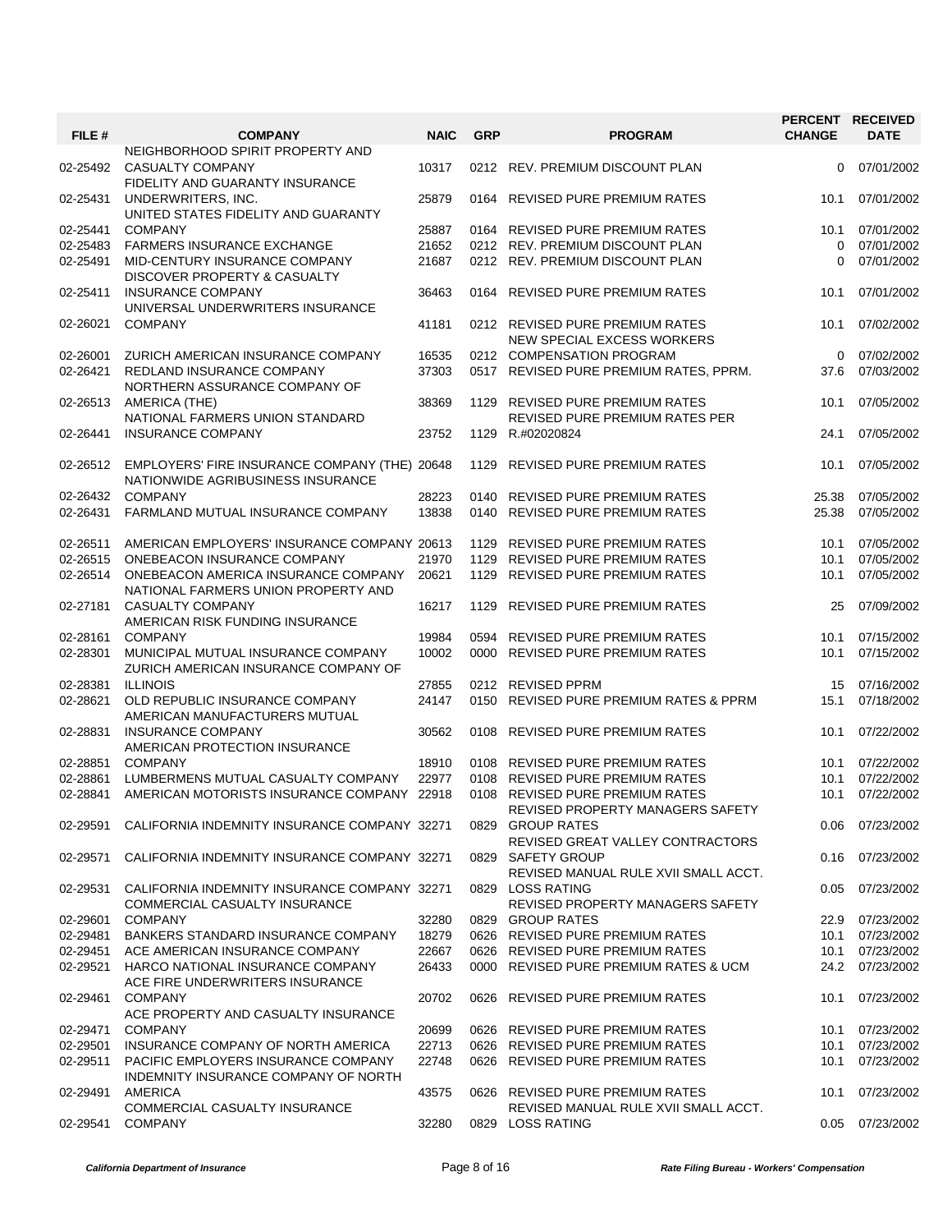| FILE #               | <b>COMPANY</b>                                                                               | <b>NAIC</b>    | <b>GRP</b> | <b>PROGRAM</b>                                                      | <b>CHANGE</b> | PERCENT RECEIVED<br><b>DATE</b> |
|----------------------|----------------------------------------------------------------------------------------------|----------------|------------|---------------------------------------------------------------------|---------------|---------------------------------|
| 02-25492             | NEIGHBORHOOD SPIRIT PROPERTY AND<br>CASUALTY COMPANY                                         | 10317          |            | 0212 REV. PREMIUM DISCOUNT PLAN                                     | 0             | 07/01/2002                      |
| 02-25431             | FIDELITY AND GUARANTY INSURANCE<br>UNDERWRITERS, INC.<br>UNITED STATES FIDELITY AND GUARANTY | 25879          |            | 0164 REVISED PURE PREMIUM RATES                                     | 10.1          | 07/01/2002                      |
| 02-25441             | <b>COMPANY</b>                                                                               | 25887          |            | 0164 REVISED PURE PREMIUM RATES                                     | 10.1          | 07/01/2002                      |
| 02-25483<br>02-25491 | <b>FARMERS INSURANCE EXCHANGE</b><br>MID-CENTURY INSURANCE COMPANY                           | 21652<br>21687 |            | 0212 REV. PREMIUM DISCOUNT PLAN<br>0212 REV. PREMIUM DISCOUNT PLAN  | 0<br>$\Omega$ | 07/01/2002<br>07/01/2002        |
|                      | DISCOVER PROPERTY & CASUALTY                                                                 |                |            |                                                                     |               |                                 |
| 02-25411             | <b>INSURANCE COMPANY</b><br>UNIVERSAL UNDERWRITERS INSURANCE                                 | 36463          | 0164       | REVISED PURE PREMIUM RATES                                          | 10.1          | 07/01/2002                      |
| 02-26021             | <b>COMPANY</b>                                                                               | 41181          |            | 0212 REVISED PURE PREMIUM RATES<br>NEW SPECIAL EXCESS WORKERS       | 10.1          | 07/02/2002                      |
| 02-26001             | ZURICH AMERICAN INSURANCE COMPANY                                                            | 16535          |            | 0212 COMPENSATION PROGRAM                                           | 0             | 07/02/2002                      |
| 02-26421             | REDLAND INSURANCE COMPANY<br>NORTHERN ASSURANCE COMPANY OF                                   | 37303          |            | 0517 REVISED PURE PREMIUM RATES, PPRM.                              | 37.6          | 07/03/2002                      |
| 02-26513             | AMERICA (THE)                                                                                | 38369          | 1129       | REVISED PURE PREMIUM RATES                                          | 10.1          | 07/05/2002                      |
|                      | NATIONAL FARMERS UNION STANDARD                                                              |                |            | <b>REVISED PURE PREMIUM RATES PER</b>                               |               |                                 |
| 02-26441             | <b>INSURANCE COMPANY</b>                                                                     | 23752          | 1129       | R.#02020824                                                         | 24.1          | 07/05/2002                      |
|                      |                                                                                              |                |            |                                                                     |               |                                 |
| 02-26512             | EMPLOYERS' FIRE INSURANCE COMPANY (THE) 20648<br>NATIONWIDE AGRIBUSINESS INSURANCE           |                | 1129       | <b>REVISED PURE PREMIUM RATES</b>                                   | 10.1          | 07/05/2002                      |
| 02-26432             | <b>COMPANY</b>                                                                               | 28223          | 0140       | <b>REVISED PURE PREMIUM RATES</b>                                   | 25.38         | 07/05/2002                      |
| 02-26431             | FARMLAND MUTUAL INSURANCE COMPANY                                                            | 13838          | 0140       | <b>REVISED PURE PREMIUM RATES</b>                                   | 25.38         | 07/05/2002                      |
| 02-26511             | AMERICAN EMPLOYERS' INSURANCE COMPANY 20613                                                  |                | 1129       | REVISED PURE PREMIUM RATES                                          | 10.1          | 07/05/2002                      |
| 02-26515             | ONEBEACON INSURANCE COMPANY                                                                  | 21970          | 1129       | REVISED PURE PREMIUM RATES                                          | 10.1          | 07/05/2002                      |
| 02-26514             | ONEBEACON AMERICA INSURANCE COMPANY<br>NATIONAL FARMERS UNION PROPERTY AND                   | 20621          |            | 1129 REVISED PURE PREMIUM RATES                                     | 10.1          | 07/05/2002                      |
| 02-27181             | <b>CASUALTY COMPANY</b>                                                                      | 16217          | 1129       | <b>REVISED PURE PREMIUM RATES</b>                                   | 25            | 07/09/2002                      |
|                      | AMERICAN RISK FUNDING INSURANCE                                                              |                |            |                                                                     |               |                                 |
| 02-28161             | <b>COMPANY</b>                                                                               | 19984          | 0594       | <b>REVISED PURE PREMIUM RATES</b>                                   | 10.1          | 07/15/2002                      |
| 02-28301             | MUNICIPAL MUTUAL INSURANCE COMPANY<br>ZURICH AMERICAN INSURANCE COMPANY OF                   | 10002          | 0000       | <b>REVISED PURE PREMIUM RATES</b>                                   | 10.1          | 07/15/2002                      |
| 02-28381             | <b>ILLINOIS</b>                                                                              | 27855          |            | 0212 REVISED PPRM                                                   | 15            | 07/16/2002                      |
| 02-28621             | OLD REPUBLIC INSURANCE COMPANY<br>AMERICAN MANUFACTURERS MUTUAL                              | 24147          |            | 0150 REVISED PURE PREMIUM RATES & PPRM                              | 15.1          | 07/18/2002                      |
| 02-28831             | <b>INSURANCE COMPANY</b><br>AMERICAN PROTECTION INSURANCE                                    | 30562          | 0108       | REVISED PURE PREMIUM RATES                                          | 10.1          | 07/22/2002                      |
| 02-28851             | <b>COMPANY</b>                                                                               | 18910          |            | 0108 REVISED PURE PREMIUM RATES                                     | 10.1          | 07/22/2002                      |
| 02-28861             | LUMBERMENS MUTUAL CASUALTY COMPANY                                                           | 22977          |            | 0108 REVISED PURE PREMIUM RATES                                     | 10.1          | 07/22/2002                      |
| 02-28841             | AMERICAN MOTORISTS INSURANCE COMPANY 22918                                                   |                |            | 0108 REVISED PURE PREMIUM RATES<br>REVISED PROPERTY MANAGERS SAFETY | 10.1          | 07/22/2002                      |
| 02-29591             | CALIFORNIA INDEMNITY INSURANCE COMPANY 32271                                                 |                |            | 0829 GROUP RATES                                                    |               | 0.06 07/23/2002                 |
| 02-29571             | CALIFORNIA INDEMNITY INSURANCE COMPANY 32271                                                 |                |            | REVISED GREAT VALLEY CONTRACTORS<br>0829 SAFETY GROUP               | 0.16          | 07/23/2002                      |
|                      |                                                                                              |                |            | REVISED MANUAL RULE XVII SMALL ACCT.                                |               |                                 |
| 02-29531             | CALIFORNIA INDEMNITY INSURANCE COMPANY 32271<br>COMMERCIAL CASUALTY INSURANCE                |                |            | 0829 LOSS RATING<br>REVISED PROPERTY MANAGERS SAFETY                | 0.05          | 07/23/2002                      |
| 02-29601             | <b>COMPANY</b>                                                                               | 32280          | 0829       | <b>GROUP RATES</b>                                                  | 22.9          | 07/23/2002                      |
| 02-29481             | <b>BANKERS STANDARD INSURANCE COMPANY</b>                                                    | 18279          |            | 0626 REVISED PURE PREMIUM RATES                                     | 10.1          | 07/23/2002                      |
| 02-29451             | ACE AMERICAN INSURANCE COMPANY                                                               | 22667          |            | 0626 REVISED PURE PREMIUM RATES                                     | 10.1          | 07/23/2002                      |
| 02-29521             | HARCO NATIONAL INSURANCE COMPANY                                                             | 26433          |            | 0000 REVISED PURE PREMIUM RATES & UCM                               | 24.2          | 07/23/2002                      |
|                      | ACE FIRE UNDERWRITERS INSURANCE                                                              |                |            |                                                                     |               |                                 |
| 02-29461             | <b>COMPANY</b><br>ACE PROPERTY AND CASUALTY INSURANCE                                        | 20702          |            | 0626 REVISED PURE PREMIUM RATES                                     | 10.1          | 07/23/2002                      |
| 02-29471             | <b>COMPANY</b>                                                                               | 20699          |            | 0626 REVISED PURE PREMIUM RATES                                     | 10.1          | 07/23/2002                      |
| 02-29501             | INSURANCE COMPANY OF NORTH AMERICA                                                           | 22713          |            | 0626 REVISED PURE PREMIUM RATES                                     | 10.1          | 07/23/2002                      |
| 02-29511             | PACIFIC EMPLOYERS INSURANCE COMPANY<br>INDEMNITY INSURANCE COMPANY OF NORTH                  | 22748          |            | 0626 REVISED PURE PREMIUM RATES                                     | 10.1          | 07/23/2002                      |
| 02-29491             | AMERICA                                                                                      | 43575          |            | 0626 REVISED PURE PREMIUM RATES                                     | 10.1          | 07/23/2002                      |
|                      | COMMERCIAL CASUALTY INSURANCE<br><b>COMPANY</b>                                              |                |            | REVISED MANUAL RULE XVII SMALL ACCT.<br>0829 LOSS RATING            |               | 07/23/2002                      |
| 02-29541             |                                                                                              | 32280          |            |                                                                     | 0.05          |                                 |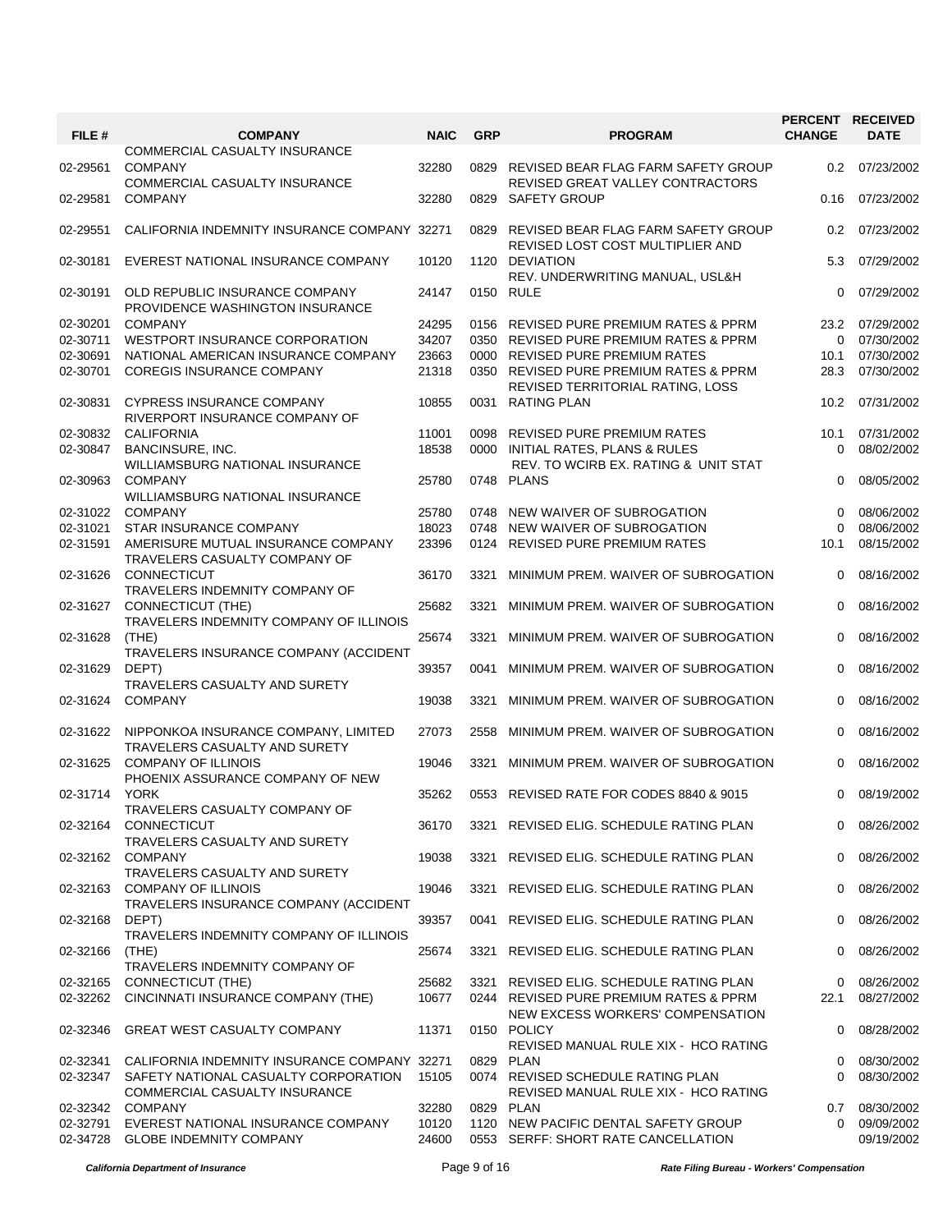| FILE #   | <b>COMPANY</b>                                                                 | <b>NAIC</b>    | <b>GRP</b> | <b>PROGRAM</b>                                                              | <b>CHANGE</b> | PERCENT RECEIVED<br><b>DATE</b> |
|----------|--------------------------------------------------------------------------------|----------------|------------|-----------------------------------------------------------------------------|---------------|---------------------------------|
| 02-29561 | COMMERCIAL CASUALTY INSURANCE<br><b>COMPANY</b>                                | 32280          | 0829       | REVISED BEAR FLAG FARM SAFETY GROUP                                         | $0.2\,$       | 07/23/2002                      |
| 02-29581 | COMMERCIAL CASUALTY INSURANCE<br><b>COMPANY</b>                                | 32280          | 0829       | REVISED GREAT VALLEY CONTRACTORS<br>SAFETY GROUP                            | 0.16          | 07/23/2002                      |
| 02-29551 | CALIFORNIA INDEMNITY INSURANCE COMPANY 32271                                   |                | 0829       | REVISED BEAR FLAG FARM SAFETY GROUP<br>REVISED LOST COST MULTIPLIER AND     | 0.2           | 07/23/2002                      |
| 02-30181 | EVEREST NATIONAL INSURANCE COMPANY                                             | 10120          |            | 1120 DEVIATION<br>REV. UNDERWRITING MANUAL, USL&H                           | 5.3           | 07/29/2002                      |
| 02-30191 | OLD REPUBLIC INSURANCE COMPANY<br>PROVIDENCE WASHINGTON INSURANCE              | 24147          |            | 0150 RULE                                                                   | $\Omega$      | 07/29/2002                      |
| 02-30201 | <b>COMPANY</b>                                                                 | 24295          |            | 0156 REVISED PURE PREMIUM RATES & PPRM                                      | 23.2          | 07/29/2002                      |
| 02-30711 | WESTPORT INSURANCE CORPORATION                                                 | 34207          |            | 0350 REVISED PURE PREMIUM RATES & PPRM                                      | 0             | 07/30/2002                      |
| 02-30691 | NATIONAL AMERICAN INSURANCE COMPANY                                            | 23663          |            | 0000 REVISED PURE PREMIUM RATES                                             | 10.1          | 07/30/2002                      |
| 02-30701 | <b>COREGIS INSURANCE COMPANY</b>                                               | 21318          |            | 0350 REVISED PURE PREMIUM RATES & PPRM<br>REVISED TERRITORIAL RATING, LOSS  | 28.3          | 07/30/2002                      |
| 02-30831 | <b>CYPRESS INSURANCE COMPANY</b><br>RIVERPORT INSURANCE COMPANY OF             | 10855          |            | 0031 RATING PLAN                                                            | 10.2          | 07/31/2002                      |
| 02-30832 | <b>CALIFORNIA</b>                                                              | 11001          | 0098       | REVISED PURE PREMIUM RATES                                                  | 10.1          | 07/31/2002                      |
| 02-30847 | BANCINSURE, INC.                                                               | 18538          |            | 0000 INITIAL RATES, PLANS & RULES                                           | $\Omega$      | 08/02/2002                      |
| 02-30963 | WILLIAMSBURG NATIONAL INSURANCE<br><b>COMPANY</b>                              | 25780          |            | REV. TO WCIRB EX. RATING & UNIT STAT<br>0748 PLANS                          | $\Omega$      | 08/05/2002                      |
|          | WILLIAMSBURG NATIONAL INSURANCE                                                |                |            |                                                                             |               |                                 |
| 02-31022 | <b>COMPANY</b>                                                                 | 25780          | 0748       | NEW WAIVER OF SUBROGATION                                                   | $\Omega$      | 08/06/2002                      |
| 02-31021 | STAR INSURANCE COMPANY                                                         | 18023          | 0748       | NEW WAIVER OF SUBROGATION                                                   | $\Omega$      | 08/06/2002                      |
| 02-31591 | AMERISURE MUTUAL INSURANCE COMPANY                                             | 23396          | 0124       | <b>REVISED PURE PREMIUM RATES</b>                                           | 10.1          | 08/15/2002                      |
| 02-31626 | TRAVELERS CASUALTY COMPANY OF<br><b>CONNECTICUT</b>                            | 36170          | 3321       | MINIMUM PREM. WAIVER OF SUBROGATION                                         | $\Omega$      | 08/16/2002                      |
| 02-31627 | TRAVELERS INDEMNITY COMPANY OF<br>CONNECTICUT (THE)                            | 25682          | 3321       | MINIMUM PREM. WAIVER OF SUBROGATION                                         | $\Omega$      | 08/16/2002                      |
| 02-31628 | TRAVELERS INDEMNITY COMPANY OF ILLINOIS<br>(THE)                               | 25674          | 3321       | MINIMUM PREM. WAIVER OF SUBROGATION                                         | 0             | 08/16/2002                      |
| 02-31629 | TRAVELERS INSURANCE COMPANY (ACCIDENT<br>DEPT)                                 | 39357          | 0041       | MINIMUM PREM. WAIVER OF SUBROGATION                                         | $\Omega$      | 08/16/2002                      |
| 02-31624 | TRAVELERS CASUALTY AND SURETY<br><b>COMPANY</b>                                | 19038          | 3321       | MINIMUM PREM. WAIVER OF SUBROGATION                                         | 0             | 08/16/2002                      |
|          |                                                                                |                |            |                                                                             |               |                                 |
|          | 02-31622 NIPPONKOA INSURANCE COMPANY, LIMITED<br>TRAVELERS CASUALTY AND SURETY | 27073          | 2558       | MINIMUM PREM. WAIVER OF SUBROGATION                                         | 0             | 08/16/2002                      |
| 02-31625 | <b>COMPANY OF ILLINOIS</b><br>PHOENIX ASSURANCE COMPANY OF NEW                 | 19046          | 3321       | MINIMUM PREM. WAIVER OF SUBROGATION                                         | $\Omega$      | 08/16/2002                      |
| 02-31714 | <b>YORK</b><br>TRAVELERS CASUALTY COMPANY OF                                   | 35262          |            | 0553 REVISED RATE FOR CODES 8840 & 9015                                     | $\Omega$      | 08/19/2002                      |
|          | 02-32164 CONNECTICUT<br>TRAVELERS CASUALTY AND SURETY                          | 36170          |            | 3321 REVISED ELIG. SCHEDULE RATING PLAN                                     | $\mathbf{0}$  | 08/26/2002                      |
| 02-32162 | <b>COMPANY</b><br>TRAVELERS CASUALTY AND SURETY                                | 19038          | 3321       | REVISED ELIG. SCHEDULE RATING PLAN                                          | 0             | 08/26/2002                      |
| 02-32163 | <b>COMPANY OF ILLINOIS</b><br>TRAVELERS INSURANCE COMPANY (ACCIDENT            | 19046          | 3321       | REVISED ELIG. SCHEDULE RATING PLAN                                          | 0             | 08/26/2002                      |
| 02-32168 | DEPT)<br>TRAVELERS INDEMNITY COMPANY OF ILLINOIS                               | 39357          |            | 0041 REVISED ELIG. SCHEDULE RATING PLAN                                     | 0             | 08/26/2002                      |
| 02-32166 | (THE)<br>TRAVELERS INDEMNITY COMPANY OF                                        | 25674          | 3321       | REVISED ELIG. SCHEDULE RATING PLAN                                          | 0             | 08/26/2002                      |
| 02-32165 | <b>CONNECTICUT (THE)</b>                                                       | 25682          |            | 3321 REVISED ELIG. SCHEDULE RATING PLAN                                     | 0             | 08/26/2002                      |
| 02-32262 | CINCINNATI INSURANCE COMPANY (THE)                                             | 10677          |            | 0244 REVISED PURE PREMIUM RATES & PPRM<br>NEW EXCESS WORKERS' COMPENSATION  | 22.1          | 08/27/2002                      |
| 02-32346 | GREAT WEST CASUALTY COMPANY                                                    | 11371          |            | 0150 POLICY<br>REVISED MANUAL RULE XIX - HCO RATING                         | 0             | 08/28/2002                      |
| 02-32341 | CALIFORNIA INDEMNITY INSURANCE COMPANY 32271                                   |                | 0829       | PLAN                                                                        | 0             | 08/30/2002                      |
| 02-32347 | SAFETY NATIONAL CASUALTY CORPORATION<br>COMMERCIAL CASUALTY INSURANCE          | 15105          |            | 0074 REVISED SCHEDULE RATING PLAN<br>REVISED MANUAL RULE XIX - HCO RATING   | 0             | 08/30/2002                      |
| 02-32342 | <b>COMPANY</b>                                                                 | 32280          |            | 0829 PLAN                                                                   | 0.7           | 08/30/2002                      |
| 02-32791 | EVEREST NATIONAL INSURANCE COMPANY<br>02-34728 GLOBE INDEMNITY COMPANY         | 10120<br>24600 |            | 1120 NEW PACIFIC DENTAL SAFETY GROUP<br>0553 SERFF: SHORT RATE CANCELLATION | $\Omega$      | 09/09/2002<br>09/19/2002        |

*California Department of Insurance* Page 9 of 16 *Rate Filing Bureau - Workers' Compensation*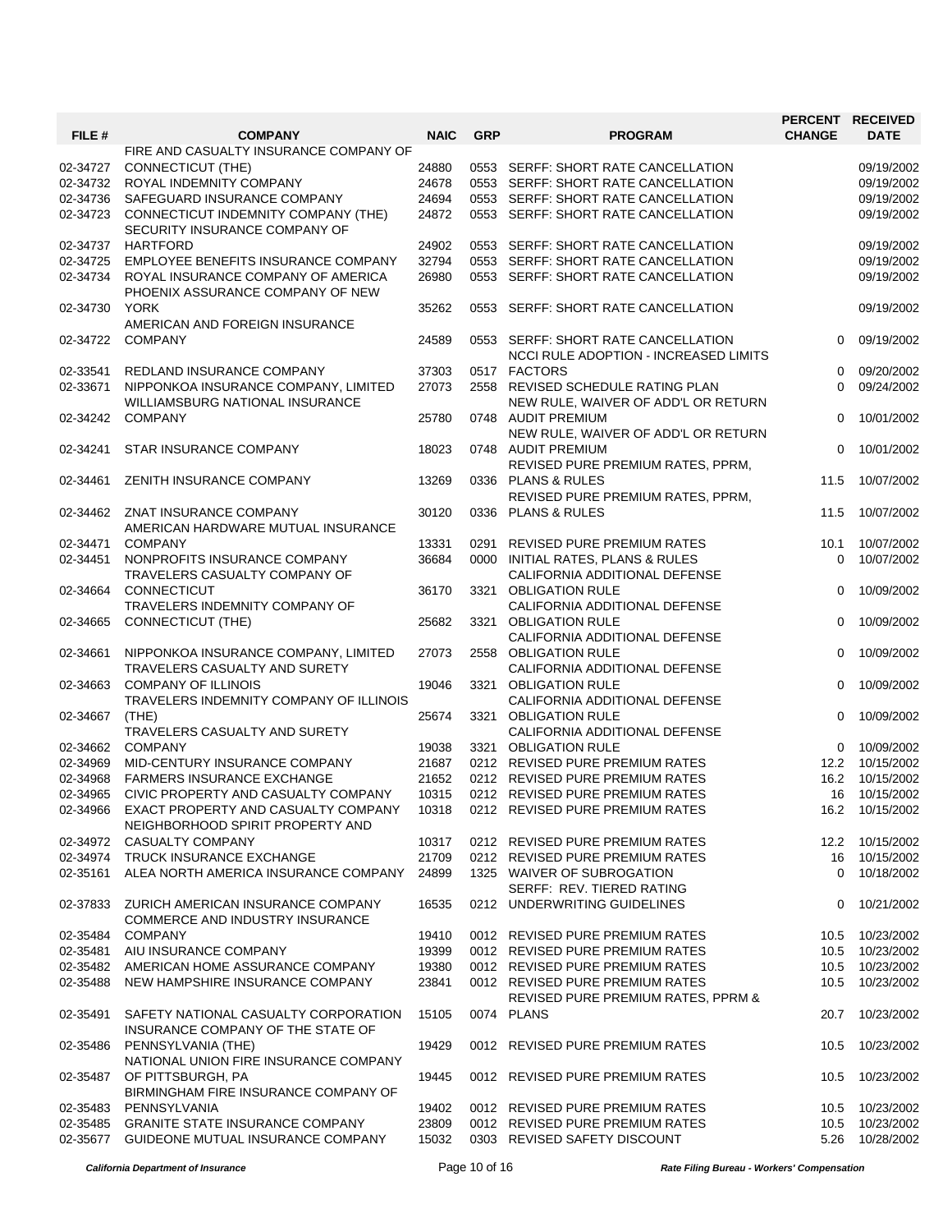| FILE #   | <b>COMPANY</b>                                                                 | <b>NAIC</b> | <b>GRP</b> | <b>PROGRAM</b>                                                                      | PERCENT RECEIVED<br><b>CHANGE</b> | <b>DATE</b>      |
|----------|--------------------------------------------------------------------------------|-------------|------------|-------------------------------------------------------------------------------------|-----------------------------------|------------------|
|          | FIRE AND CASUALTY INSURANCE COMPANY OF                                         |             |            |                                                                                     |                                   |                  |
| 02-34727 | <b>CONNECTICUT (THE)</b>                                                       | 24880       |            | 0553 SERFF: SHORT RATE CANCELLATION                                                 |                                   | 09/19/2002       |
| 02-34732 | ROYAL INDEMNITY COMPANY                                                        | 24678       |            | 0553 SERFF: SHORT RATE CANCELLATION                                                 |                                   | 09/19/2002       |
| 02-34736 | SAFEGUARD INSURANCE COMPANY                                                    | 24694       |            | 0553 SERFF: SHORT RATE CANCELLATION                                                 |                                   | 09/19/2002       |
| 02-34723 | CONNECTICUT INDEMNITY COMPANY (THE)<br>SECURITY INSURANCE COMPANY OF           | 24872       |            | 0553 SERFF: SHORT RATE CANCELLATION                                                 |                                   | 09/19/2002       |
| 02-34737 | <b>HARTFORD</b>                                                                | 24902       |            | 0553 SERFF: SHORT RATE CANCELLATION                                                 |                                   | 09/19/2002       |
| 02-34725 | EMPLOYEE BENEFITS INSURANCE COMPANY                                            | 32794       |            | 0553 SERFF: SHORT RATE CANCELLATION                                                 |                                   | 09/19/2002       |
| 02-34734 | ROYAL INSURANCE COMPANY OF AMERICA<br>PHOENIX ASSURANCE COMPANY OF NEW         | 26980       |            | 0553 SERFF: SHORT RATE CANCELLATION                                                 |                                   | 09/19/2002       |
| 02-34730 | <b>YORK</b><br>AMERICAN AND FOREIGN INSURANCE                                  | 35262       | 0553       | SERFF: SHORT RATE CANCELLATION                                                      |                                   | 09/19/2002       |
| 02-34722 | <b>COMPANY</b>                                                                 | 24589       |            | 0553 SERFF: SHORT RATE CANCELLATION<br><b>NCCI RULE ADOPTION - INCREASED LIMITS</b> | 0                                 | 09/19/2002       |
| 02-33541 | REDLAND INSURANCE COMPANY                                                      | 37303       |            | 0517 FACTORS                                                                        | $\Omega$                          | 09/20/2002       |
| 02-33671 | NIPPONKOA INSURANCE COMPANY, LIMITED<br><b>WILLIAMSBURG NATIONAL INSURANCE</b> | 27073       |            | 2558 REVISED SCHEDULE RATING PLAN<br>NEW RULE, WAIVER OF ADD'L OR RETURN            | $\Omega$                          | 09/24/2002       |
| 02-34242 | <b>COMPANY</b>                                                                 | 25780       |            | 0748 AUDIT PREMIUM<br>NEW RULE, WAIVER OF ADD'L OR RETURN                           | 0                                 | 10/01/2002       |
| 02-34241 | <b>STAR INSURANCE COMPANY</b>                                                  | 18023       |            | 0748 AUDIT PREMIUM<br>REVISED PURE PREMIUM RATES, PPRM,                             | $\Omega$                          | 10/01/2002       |
| 02-34461 | ZENITH INSURANCE COMPANY                                                       | 13269       |            | 0336 PLANS & RULES                                                                  | 11.5                              | 10/07/2002       |
|          |                                                                                |             |            | REVISED PURE PREMIUM RATES, PPRM,                                                   |                                   |                  |
| 02-34462 | ZNAT INSURANCE COMPANY<br>AMERICAN HARDWARE MUTUAL INSURANCE                   | 30120       | 0336       | <b>PLANS &amp; RULES</b>                                                            | 11.5                              | 10/07/2002       |
| 02-34471 | <b>COMPANY</b>                                                                 | 13331       |            | 0291 REVISED PURE PREMIUM RATES                                                     | 10.1                              | 10/07/2002       |
| 02-34451 | NONPROFITS INSURANCE COMPANY                                                   | 36684       |            | 0000 INITIAL RATES, PLANS & RULES                                                   | $\Omega$                          | 10/07/2002       |
|          | TRAVELERS CASUALTY COMPANY OF                                                  |             |            | CALIFORNIA ADDITIONAL DEFENSE                                                       |                                   |                  |
| 02-34664 | CONNECTICUT                                                                    | 36170       |            | 3321 OBLIGATION RULE                                                                | 0                                 | 10/09/2002       |
|          | TRAVELERS INDEMNITY COMPANY OF                                                 |             |            | CALIFORNIA ADDITIONAL DEFENSE                                                       |                                   |                  |
| 02-34665 | CONNECTICUT (THE)                                                              | 25682       | 3321       | <b>OBLIGATION RULE</b>                                                              | 0                                 | 10/09/2002       |
|          |                                                                                |             |            | CALIFORNIA ADDITIONAL DEFENSE                                                       |                                   |                  |
| 02-34661 | NIPPONKOA INSURANCE COMPANY, LIMITED<br>TRAVELERS CASUALTY AND SURETY          | 27073       | 2558       | <b>OBLIGATION RULE</b><br>CALIFORNIA ADDITIONAL DEFENSE                             | 0                                 | 10/09/2002       |
| 02-34663 | <b>COMPANY OF ILLINOIS</b><br>TRAVELERS INDEMNITY COMPANY OF ILLINOIS          | 19046       |            | 3321 OBLIGATION RULE<br>CALIFORNIA ADDITIONAL DEFENSE                               | 0                                 | 10/09/2002       |
| 02-34667 | (THE)                                                                          | 25674       |            | 3321 OBLIGATION RULE                                                                | $\Omega$                          | 10/09/2002       |
|          | TRAVELERS CASUALTY AND SURETY                                                  |             |            | CALIFORNIA ADDITIONAL DEFENSE                                                       |                                   |                  |
| 02-34662 | <b>COMPANY</b>                                                                 | 19038       |            | 3321 OBLIGATION RULE                                                                | $\Omega$                          | 10/09/2002       |
| 02-34969 | MID-CENTURY INSURANCE COMPANY                                                  | 21687       |            | 0212 REVISED PURE PREMIUM RATES                                                     | 12.2                              | 10/15/2002       |
| 02-34968 | <b>FARMERS INSURANCE EXCHANGE</b>                                              | 21652       |            | 0212 REVISED PURE PREMIUM RATES                                                     | 16.2                              | 10/15/2002       |
| 02-34965 | CIVIC PROPERTY AND CASUALTY COMPANY                                            | 10315       |            | 0212 REVISED PURE PREMIUM RATES                                                     |                                   | 16 10/15/2002    |
| 02-34966 | EXACT PROPERTY AND CASUALTY COMPANY<br>NEIGHBORHOOD SPIRIT PROPERTY AND        | 10318       |            | 0212 REVISED PURE PREMIUM RATES                                                     |                                   | 16.2  10/15/2002 |
| 02-34972 | <b>CASUALTY COMPANY</b>                                                        | 10317       |            | 0212 REVISED PURE PREMIUM RATES                                                     |                                   | 12.2  10/15/2002 |
| 02-34974 | <b>TRUCK INSURANCE EXCHANGE</b>                                                | 21709       |            | 0212 REVISED PURE PREMIUM RATES                                                     | 16                                | 10/15/2002       |
| 02-35161 | ALEA NORTH AMERICA INSURANCE COMPANY                                           | 24899       |            | 1325 WAIVER OF SUBROGATION<br>SERFF: REV. TIERED RATING                             | 0                                 | 10/18/2002       |
| 02-37833 | ZURICH AMERICAN INSURANCE COMPANY<br>COMMERCE AND INDUSTRY INSURANCE           | 16535       |            | 0212 UNDERWRITING GUIDELINES                                                        | 0                                 | 10/21/2002       |
| 02-35484 | <b>COMPANY</b>                                                                 | 19410       |            | 0012 REVISED PURE PREMIUM RATES                                                     | 10.5                              | 10/23/2002       |
| 02-35481 | AIU INSURANCE COMPANY                                                          | 19399       |            | 0012 REVISED PURE PREMIUM RATES                                                     | 10.5                              | 10/23/2002       |
| 02-35482 | AMERICAN HOME ASSURANCE COMPANY                                                | 19380       |            | 0012 REVISED PURE PREMIUM RATES                                                     | 10.5                              | 10/23/2002       |
| 02-35488 | NEW HAMPSHIRE INSURANCE COMPANY                                                | 23841       |            | 0012 REVISED PURE PREMIUM RATES                                                     | 10.5                              | 10/23/2002       |
|          |                                                                                |             |            | REVISED PURE PREMIUM RATES, PPRM &                                                  |                                   |                  |
| 02-35491 | SAFETY NATIONAL CASUALTY CORPORATION<br>INSURANCE COMPANY OF THE STATE OF      | 15105       |            | 0074 PLANS                                                                          | 20.7                              | 10/23/2002       |
| 02-35486 | PENNSYLVANIA (THE)<br>NATIONAL UNION FIRE INSURANCE COMPANY                    | 19429       |            | 0012 REVISED PURE PREMIUM RATES                                                     | 10.5                              | 10/23/2002       |
| 02-35487 | OF PITTSBURGH, PA<br>BIRMINGHAM FIRE INSURANCE COMPANY OF                      | 19445       |            | 0012 REVISED PURE PREMIUM RATES                                                     | 10.5                              | 10/23/2002       |
| 02-35483 | PENNSYLVANIA                                                                   | 19402       |            | 0012 REVISED PURE PREMIUM RATES                                                     | 10.5                              | 10/23/2002       |
| 02-35485 | <b>GRANITE STATE INSURANCE COMPANY</b>                                         | 23809       |            | 0012 REVISED PURE PREMIUM RATES                                                     | 10.5                              | 10/23/2002       |
| 02-35677 | GUIDEONE MUTUAL INSURANCE COMPANY                                              | 15032       |            | 0303 REVISED SAFETY DISCOUNT                                                        |                                   | 5.26 10/28/2002  |

*California Department of Insurance* Page 10 of 16 *Rate Filing Bureau - Workers' Compensation*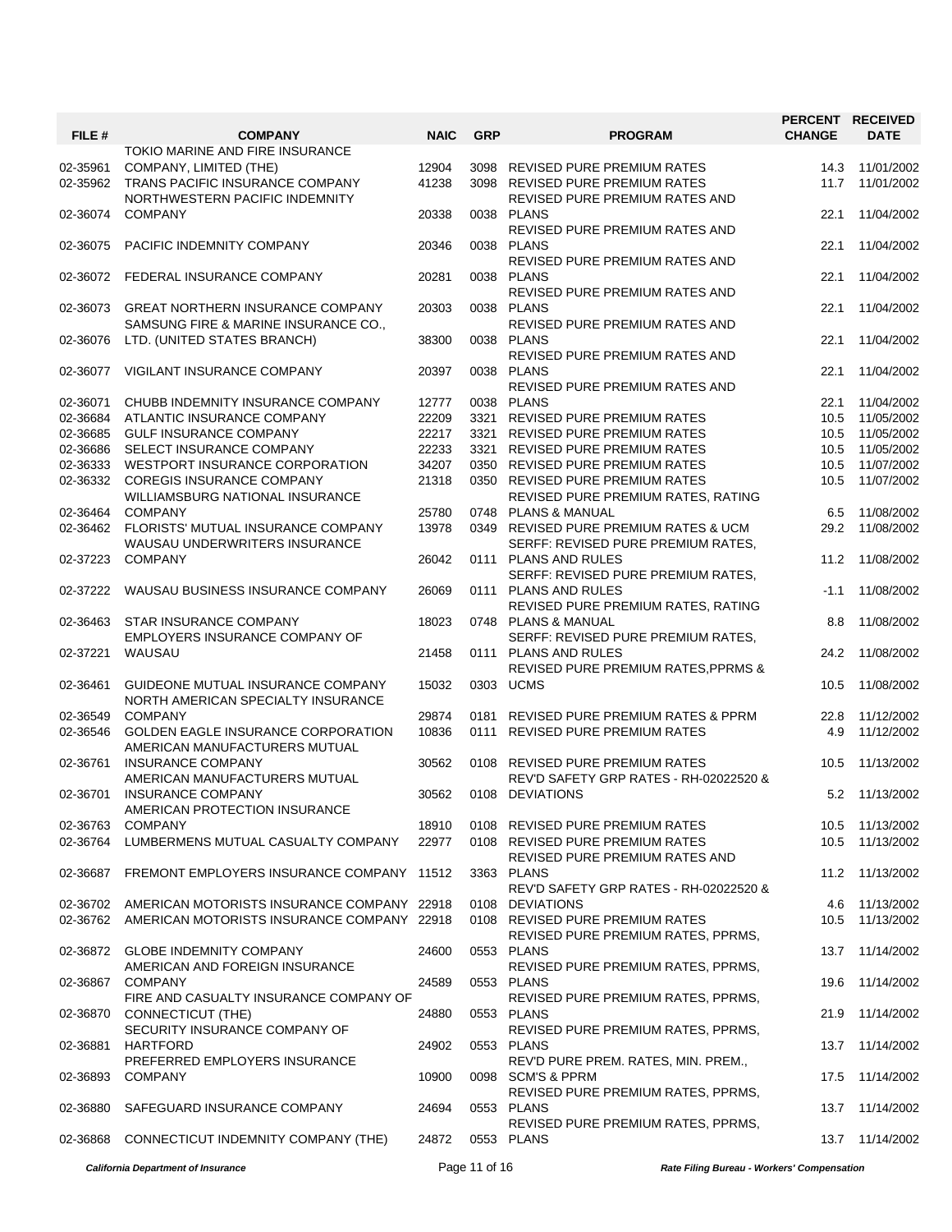| FILE #   | <b>COMPANY</b>                             | <b>NAIC</b> | <b>GRP</b> | <b>PROGRAM</b>                                 | <b>CHANGE</b> | PERCENT RECEIVED<br><b>DATE</b> |
|----------|--------------------------------------------|-------------|------------|------------------------------------------------|---------------|---------------------------------|
|          | TOKIO MARINE AND FIRE INSURANCE            |             |            |                                                |               |                                 |
| 02-35961 | COMPANY, LIMITED (THE)                     | 12904       |            | 3098 REVISED PURE PREMIUM RATES                | 14.3          | 11/01/2002                      |
| 02-35962 | TRANS PACIFIC INSURANCE COMPANY            | 41238       |            | 3098 REVISED PURE PREMIUM RATES                | 11.7          | 11/01/2002                      |
|          | NORTHWESTERN PACIFIC INDEMNITY             |             |            | REVISED PURE PREMIUM RATES AND                 |               |                                 |
|          |                                            |             |            | 0038 PLANS                                     |               | 11/04/2002                      |
| 02-36074 | <b>COMPANY</b>                             | 20338       |            |                                                | 22.1          |                                 |
|          |                                            |             |            | REVISED PURE PREMIUM RATES AND                 |               |                                 |
| 02-36075 | PACIFIC INDEMNITY COMPANY                  | 20346       |            | 0038 PLANS                                     | 22.1          | 11/04/2002                      |
|          |                                            |             |            | REVISED PURE PREMIUM RATES AND                 |               |                                 |
|          | 02-36072 FEDERAL INSURANCE COMPANY         | 20281       |            | 0038 PLANS                                     | 22.1          | 11/04/2002                      |
|          |                                            |             |            | <b>REVISED PURE PREMIUM RATES AND</b>          |               |                                 |
| 02-36073 | <b>GREAT NORTHERN INSURANCE COMPANY</b>    | 20303       |            | 0038 PLANS                                     | 22.1          | 11/04/2002                      |
|          | SAMSUNG FIRE & MARINE INSURANCE CO.,       |             |            | REVISED PURE PREMIUM RATES AND                 |               |                                 |
| 02-36076 | LTD. (UNITED STATES BRANCH)                | 38300       |            | 0038 PLANS                                     | 22.1          | 11/04/2002                      |
|          |                                            |             |            |                                                |               |                                 |
|          |                                            |             |            | REVISED PURE PREMIUM RATES AND                 |               |                                 |
| 02-36077 | VIGILANT INSURANCE COMPANY                 | 20397       |            | 0038 PLANS                                     | 22.1          | 11/04/2002                      |
|          |                                            |             |            | REVISED PURE PREMIUM RATES AND                 |               |                                 |
| 02-36071 | CHUBB INDEMNITY INSURANCE COMPANY          | 12777       |            | 0038 PLANS                                     | 22.1          | 11/04/2002                      |
| 02-36684 | ATLANTIC INSURANCE COMPANY                 | 22209       |            | 3321 REVISED PURE PREMIUM RATES                | 10.5          | 11/05/2002                      |
| 02-36685 | <b>GULF INSURANCE COMPANY</b>              | 22217       |            | 3321 REVISED PURE PREMIUM RATES                | 10.5          | 11/05/2002                      |
| 02-36686 | SELECT INSURANCE COMPANY                   | 22233       |            | 3321 REVISED PURE PREMIUM RATES                | 10.5          | 11/05/2002                      |
| 02-36333 | WESTPORT INSURANCE CORPORATION             | 34207       |            | 0350 REVISED PURE PREMIUM RATES                | 10.5          | 11/07/2002                      |
| 02-36332 | <b>COREGIS INSURANCE COMPANY</b>           | 21318       |            | 0350 REVISED PURE PREMIUM RATES                | 10.5          | 11/07/2002                      |
|          |                                            |             |            |                                                |               |                                 |
|          | WILLIAMSBURG NATIONAL INSURANCE            |             |            | REVISED PURE PREMIUM RATES, RATING             |               |                                 |
| 02-36464 | <b>COMPANY</b>                             | 25780       |            | 0748 PLANS & MANUAL                            | 6.5           | 11/08/2002                      |
| 02-36462 | FLORISTS' MUTUAL INSURANCE COMPANY         | 13978       |            | 0349 REVISED PURE PREMIUM RATES & UCM          | 29.2          | 11/08/2002                      |
|          | WAUSAU UNDERWRITERS INSURANCE              |             |            | SERFF: REVISED PURE PREMIUM RATES,             |               |                                 |
| 02-37223 | <b>COMPANY</b>                             | 26042       |            | 0111 PLANS AND RULES                           | 11.2          | 11/08/2002                      |
|          |                                            |             |            | SERFF: REVISED PURE PREMIUM RATES,             |               |                                 |
| 02-37222 | WAUSAU BUSINESS INSURANCE COMPANY          | 26069       |            | 0111 PLANS AND RULES                           | $-1.1$        | 11/08/2002                      |
|          |                                            |             |            | REVISED PURE PREMIUM RATES, RATING             |               |                                 |
| 02-36463 | STAR INSURANCE COMPANY                     | 18023       |            | 0748 PLANS & MANUAL                            | 8.8           | 11/08/2002                      |
|          | EMPLOYERS INSURANCE COMPANY OF             |             |            | SERFF: REVISED PURE PREMIUM RATES,             |               |                                 |
|          |                                            |             |            |                                                |               |                                 |
| 02-37221 | WAUSAU                                     | 21458       |            | 0111 PLANS AND RULES                           | 24.2          | 11/08/2002                      |
|          |                                            |             |            | <b>REVISED PURE PREMIUM RATES, PPRMS &amp;</b> |               |                                 |
| 02-36461 | GUIDEONE MUTUAL INSURANCE COMPANY          | 15032       |            | 0303 UCMS                                      | 10.5          | 11/08/2002                      |
|          | NORTH AMERICAN SPECIALTY INSURANCE         |             |            |                                                |               |                                 |
| 02-36549 | <b>COMPANY</b>                             | 29874       |            | 0181 REVISED PURE PREMIUM RATES & PPRM         | 22.8          | 11/12/2002                      |
| 02-36546 | <b>GOLDEN EAGLE INSURANCE CORPORATION</b>  | 10836       |            | 0111 REVISED PURE PREMIUM RATES                | 4.9           | 11/12/2002                      |
|          | AMERICAN MANUFACTURERS MUTUAL              |             |            |                                                |               |                                 |
| 02-36761 | <b>INSURANCE COMPANY</b>                   | 30562       |            | 0108 REVISED PURE PREMIUM RATES                | 10.5          | 11/13/2002                      |
|          | AMERICAN MANUFACTURERS MUTUAL              |             |            | REV'D SAFETY GRP RATES - RH-02022520 &         |               |                                 |
| 02-36701 | <b>INSURANCE COMPANY</b>                   | 30562       |            | 0108 DEVIATIONS                                |               | 5.2 11/13/2002                  |
|          | AMERICAN PROTECTION INSURANCE              |             |            |                                                |               |                                 |
|          |                                            |             |            |                                                |               |                                 |
| 02-36763 | <b>COMPANY</b>                             | 18910       |            | 0108 REVISED PURE PREMIUM RATES                |               | 10.5 11/13/2002                 |
| 02-36764 | LUMBERMENS MUTUAL CASUALTY COMPANY         | 22977       |            | 0108 REVISED PURE PREMIUM RATES                | 10.5          | 11/13/2002                      |
|          |                                            |             |            | REVISED PURE PREMIUM RATES AND                 |               |                                 |
| 02-36687 | FREMONT EMPLOYERS INSURANCE COMPANY 11512  |             |            | 3363 PLANS                                     |               | 11.2 11/13/2002                 |
|          |                                            |             |            | REV'D SAFETY GRP RATES - RH-02022520 &         |               |                                 |
| 02-36702 | AMERICAN MOTORISTS INSURANCE COMPANY 22918 |             |            | 0108 DEVIATIONS                                | 4.6           | 11/13/2002                      |
| 02-36762 | AMERICAN MOTORISTS INSURANCE COMPANY 22918 |             |            | 0108 REVISED PURE PREMIUM RATES                | 10.5          | 11/13/2002                      |
|          |                                            |             |            | REVISED PURE PREMIUM RATES, PPRMS,             |               |                                 |
| 02-36872 | <b>GLOBE INDEMNITY COMPANY</b>             | 24600       |            | 0553 PLANS                                     | 13.7          | 11/14/2002                      |
|          |                                            |             |            |                                                |               |                                 |
|          | AMERICAN AND FOREIGN INSURANCE             |             |            | REVISED PURE PREMIUM RATES, PPRMS,             |               |                                 |
| 02-36867 | <b>COMPANY</b>                             | 24589       |            | 0553 PLANS                                     | 19.6          | 11/14/2002                      |
|          | FIRE AND CASUALTY INSURANCE COMPANY OF     |             |            | REVISED PURE PREMIUM RATES, PPRMS,             |               |                                 |
| 02-36870 | CONNECTICUT (THE)                          | 24880       |            | 0553 PLANS                                     | 21.9          | 11/14/2002                      |
|          | SECURITY INSURANCE COMPANY OF              |             |            | REVISED PURE PREMIUM RATES, PPRMS,             |               |                                 |
| 02-36881 | <b>HARTFORD</b>                            | 24902       |            | 0553 PLANS                                     | 13.7          | 11/14/2002                      |
|          | PREFERRED EMPLOYERS INSURANCE              |             |            | REV'D PURE PREM. RATES, MIN. PREM.,            |               |                                 |
| 02-36893 | <b>COMPANY</b>                             | 10900       |            | 0098 SCM'S & PPRM                              | 17.5          | 11/14/2002                      |
|          |                                            |             |            | REVISED PURE PREMIUM RATES, PPRMS,             |               |                                 |
|          |                                            |             |            |                                                |               |                                 |
| 02-36880 | SAFEGUARD INSURANCE COMPANY                | 24694       |            | 0553 PLANS                                     | 13.7          | 11/14/2002                      |
|          |                                            |             |            | REVISED PURE PREMIUM RATES, PPRMS,             |               |                                 |
| 02-36868 | CONNECTICUT INDEMNITY COMPANY (THE)        | 24872       |            | 0553 PLANS                                     |               | 13.7 11/14/2002                 |
|          |                                            |             |            |                                                |               |                                 |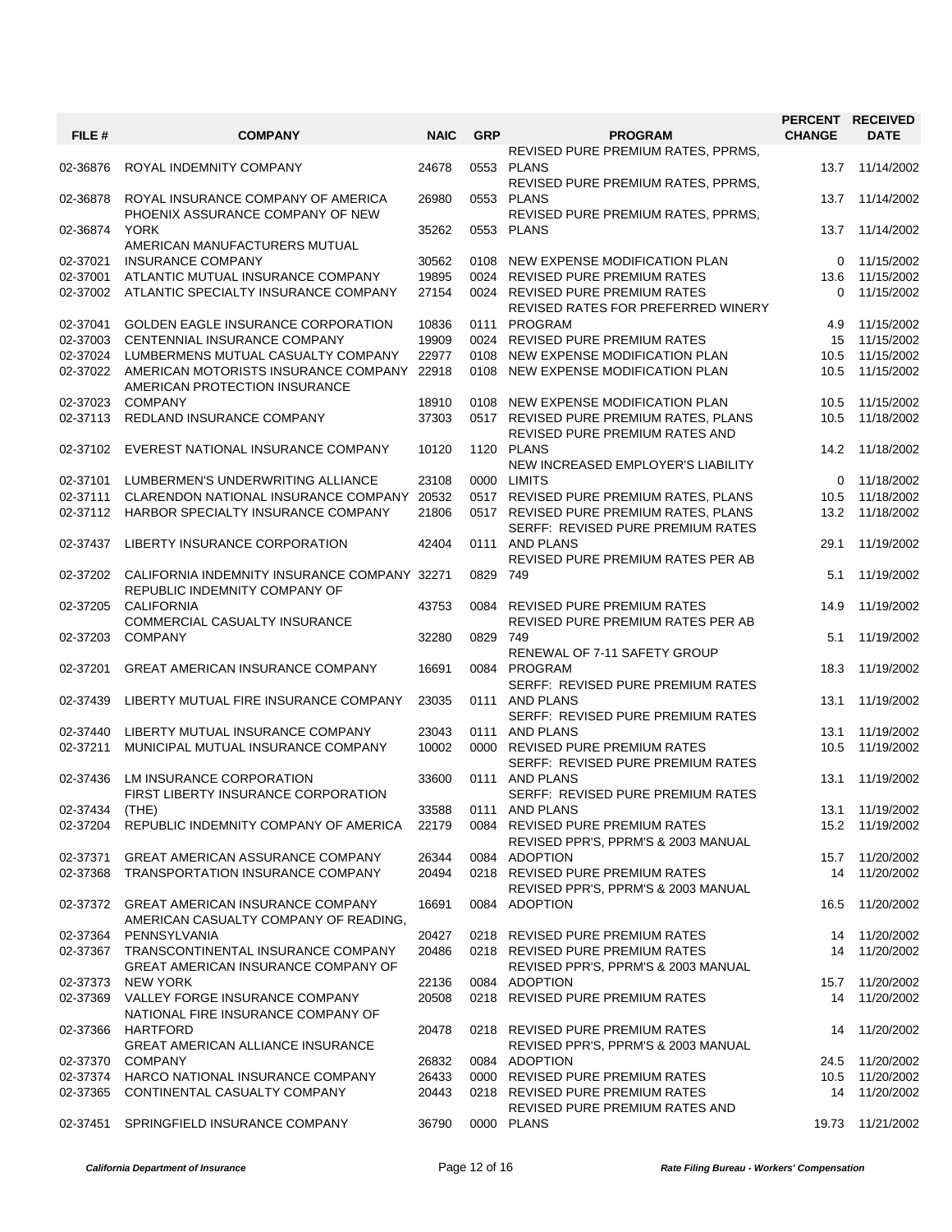| FILE #         | <b>COMPANY</b>                                     | <b>NAIC</b> | <b>GRP</b> | <b>PROGRAM</b>                                                       | PERCENT RECEIVED<br><b>CHANGE</b> | <b>DATE</b>      |
|----------------|----------------------------------------------------|-------------|------------|----------------------------------------------------------------------|-----------------------------------|------------------|
|                |                                                    |             |            | REVISED PURE PREMIUM RATES, PPRMS,                                   |                                   |                  |
| 02-36876       | ROYAL INDEMNITY COMPANY                            | 24678       |            | 0553 PLANS                                                           | 13.7                              | 11/14/2002       |
|                |                                                    |             |            | REVISED PURE PREMIUM RATES, PPRMS,                                   |                                   |                  |
| 02-36878       | ROYAL INSURANCE COMPANY OF AMERICA                 | 26980       |            | 0553 PLANS                                                           | 13.7                              | 11/14/2002       |
|                | PHOENIX ASSURANCE COMPANY OF NEW                   |             |            | REVISED PURE PREMIUM RATES, PPRMS,                                   |                                   |                  |
| 02-36874       | <b>YORK</b>                                        | 35262       |            | 0553 PLANS                                                           |                                   | 13.7 11/14/2002  |
|                | AMERICAN MANUFACTURERS MUTUAL                      |             |            |                                                                      |                                   |                  |
| 02-37021       | <b>INSURANCE COMPANY</b>                           | 30562       |            | 0108 NEW EXPENSE MODIFICATION PLAN                                   | $\Omega$                          | 11/15/2002       |
| 02-37001       | ATLANTIC MUTUAL INSURANCE COMPANY                  | 19895       |            | 0024 REVISED PURE PREMIUM RATES                                      | 13.6                              | 11/15/2002       |
| 02-37002       | ATLANTIC SPECIALTY INSURANCE COMPANY               | 27154       |            | 0024 REVISED PURE PREMIUM RATES                                      | $\Omega$                          | 11/15/2002       |
|                |                                                    |             |            | REVISED RATES FOR PREFERRED WINERY                                   |                                   |                  |
| 02-37041       | <b>GOLDEN EAGLE INSURANCE CORPORATION</b>          | 10836       |            | 0111 PROGRAM                                                         | 4.9                               | 11/15/2002       |
| 02-37003       | CENTENNIAL INSURANCE COMPANY                       | 19909       |            | 0024 REVISED PURE PREMIUM RATES                                      | 15                                | 11/15/2002       |
| 02-37024       | LUMBERMENS MUTUAL CASUALTY COMPANY                 | 22977       |            | 0108 NEW EXPENSE MODIFICATION PLAN                                   | 10.5                              | 11/15/2002       |
| 02-37022       | AMERICAN MOTORISTS INSURANCE COMPANY 22918         |             |            | 0108 NEW EXPENSE MODIFICATION PLAN                                   | 10.5                              | 11/15/2002       |
|                | AMERICAN PROTECTION INSURANCE                      |             |            |                                                                      |                                   |                  |
| 02-37023       | <b>COMPANY</b>                                     | 18910       |            | 0108 NEW EXPENSE MODIFICATION PLAN                                   | 10.5                              | 11/15/2002       |
| 02-37113       | REDLAND INSURANCE COMPANY                          | 37303       |            | 0517 REVISED PURE PREMIUM RATES, PLANS                               | 10.5                              | 11/18/2002       |
|                |                                                    |             |            | REVISED PURE PREMIUM RATES AND                                       |                                   |                  |
| 02-37102       | EVEREST NATIONAL INSURANCE COMPANY                 | 10120       |            | 1120 PLANS                                                           | 14.2                              | 11/18/2002       |
|                |                                                    |             |            | NEW INCREASED EMPLOYER'S LIABILITY                                   |                                   |                  |
| 02-37101       | LUMBERMEN'S UNDERWRITING ALLIANCE                  | 23108       |            | 0000 LIMITS                                                          | $\Omega$                          | 11/18/2002       |
| 02-37111       | CLARENDON NATIONAL INSURANCE COMPANY 20532         |             |            | 0517 REVISED PURE PREMIUM RATES, PLANS                               | 10.5                              | 11/18/2002       |
| 02-37112       | HARBOR SPECIALTY INSURANCE COMPANY                 | 21806       |            | 0517 REVISED PURE PREMIUM RATES, PLANS                               | 13.2                              | 11/18/2002       |
|                |                                                    |             |            | SERFF: REVISED PURE PREMIUM RATES                                    |                                   |                  |
| 02-37437       | LIBERTY INSURANCE CORPORATION                      | 42404       |            | 0111 AND PLANS                                                       | 29.1                              | 11/19/2002       |
|                |                                                    |             |            | <b>REVISED PURE PREMIUM RATES PER AB</b>                             |                                   |                  |
| 02-37202       | CALIFORNIA INDEMNITY INSURANCE COMPANY 32271       |             | 0829 749   |                                                                      | 5.1                               | 11/19/2002       |
|                | REPUBLIC INDEMNITY COMPANY OF<br><b>CALIFORNIA</b> |             |            |                                                                      |                                   |                  |
| 02-37205       | COMMERCIAL CASUALTY INSURANCE                      | 43753       |            | 0084 REVISED PURE PREMIUM RATES<br>REVISED PURE PREMIUM RATES PER AB | 14.9                              | 11/19/2002       |
| 02-37203       | <b>COMPANY</b>                                     | 32280       | 0829 749   |                                                                      | 5.1                               | 11/19/2002       |
|                |                                                    |             |            | RENEWAL OF 7-11 SAFETY GROUP                                         |                                   |                  |
| 02-37201       | <b>GREAT AMERICAN INSURANCE COMPANY</b>            | 16691       |            | 0084 PROGRAM                                                         | 18.3                              | 11/19/2002       |
|                |                                                    |             |            | SERFF: REVISED PURE PREMIUM RATES                                    |                                   |                  |
| 02-37439       | LIBERTY MUTUAL FIRE INSURANCE COMPANY              | 23035       |            | 0111 AND PLANS                                                       | 13.1                              | 11/19/2002       |
|                |                                                    |             |            | SERFF: REVISED PURE PREMIUM RATES                                    |                                   |                  |
| 02-37440       | LIBERTY MUTUAL INSURANCE COMPANY                   | 23043       |            | 0111 AND PLANS                                                       | 13.1                              | 11/19/2002       |
| 02-37211       | MUNICIPAL MUTUAL INSURANCE COMPANY                 | 10002       |            | 0000 REVISED PURE PREMIUM RATES                                      | 10.5                              | 11/19/2002       |
|                |                                                    |             |            | SERFF: REVISED PURE PREMIUM RATES                                    |                                   |                  |
| 02-37436       | LM INSURANCE CORPORATION                           | 33600       |            | 0111 AND PLANS                                                       | 13.1                              | 11/19/2002       |
|                | FIRST LIBERTY INSURANCE CORPORATION                |             |            | SERFF: REVISED PURE PREMIUM RATES                                    |                                   |                  |
| 02-37434 (THE) |                                                    | 33588       |            | 0111 AND PLANS                                                       |                                   | 13.1 11/19/2002  |
|                | 02-37204 REPUBLIC INDEMNITY COMPANY OF AMERICA     | 22179       |            | 0084 REVISED PURE PREMIUM RATES                                      |                                   | 15.2 11/19/2002  |
|                |                                                    |             |            | REVISED PPR'S, PPRM'S & 2003 MANUAL                                  |                                   |                  |
| 02-37371       | <b>GREAT AMERICAN ASSURANCE COMPANY</b>            | 26344       |            | 0084 ADOPTION                                                        |                                   | 15.7 11/20/2002  |
| 02-37368       | TRANSPORTATION INSURANCE COMPANY                   | 20494       |            | 0218 REVISED PURE PREMIUM RATES                                      | 14                                | 11/20/2002       |
|                |                                                    |             |            | REVISED PPR'S, PPRM'S & 2003 MANUAL                                  |                                   |                  |
| 02-37372       | <b>GREAT AMERICAN INSURANCE COMPANY</b>            | 16691       |            | 0084 ADOPTION                                                        | 16.5                              | 11/20/2002       |
|                | AMERICAN CASUALTY COMPANY OF READING,              |             |            |                                                                      |                                   |                  |
| 02-37364       | PENNSYLVANIA                                       | 20427       |            | 0218 REVISED PURE PREMIUM RATES                                      |                                   | 14 11/20/2002    |
| 02-37367       | TRANSCONTINENTAL INSURANCE COMPANY                 | 20486       |            | 0218 REVISED PURE PREMIUM RATES                                      | 14                                | 11/20/2002       |
|                | <b>GREAT AMERICAN INSURANCE COMPANY OF</b>         |             |            | REVISED PPR'S, PPRM'S & 2003 MANUAL                                  |                                   |                  |
| 02-37373       | NEW YORK                                           | 22136       |            | 0084 ADOPTION                                                        |                                   | 15.7 11/20/2002  |
| 02-37369       | VALLEY FORGE INSURANCE COMPANY                     | 20508       |            | 0218 REVISED PURE PREMIUM RATES                                      | 14                                | 11/20/2002       |
|                | NATIONAL FIRE INSURANCE COMPANY OF                 |             |            |                                                                      |                                   |                  |
| 02-37366       | HARTFORD                                           | 20478       |            | 0218 REVISED PURE PREMIUM RATES                                      | 14                                | 11/20/2002       |
|                | <b>GREAT AMERICAN ALLIANCE INSURANCE</b>           |             |            | REVISED PPR'S, PPRM'S & 2003 MANUAL                                  |                                   |                  |
| 02-37370       | <b>COMPANY</b>                                     | 26832       |            | 0084 ADOPTION                                                        |                                   | 24.5 11/20/2002  |
| 02-37374       | HARCO NATIONAL INSURANCE COMPANY                   | 26433       |            | 0000 REVISED PURE PREMIUM RATES                                      |                                   | 10.5 11/20/2002  |
| 02-37365       | CONTINENTAL CASUALTY COMPANY                       | 20443       |            | 0218 REVISED PURE PREMIUM RATES                                      | 14                                | 11/20/2002       |
|                |                                                    |             |            | REVISED PURE PREMIUM RATES AND                                       |                                   |                  |
| 02-37451       | SPRINGFIELD INSURANCE COMPANY                      | 36790       |            | 0000 PLANS                                                           |                                   | 19.73 11/21/2002 |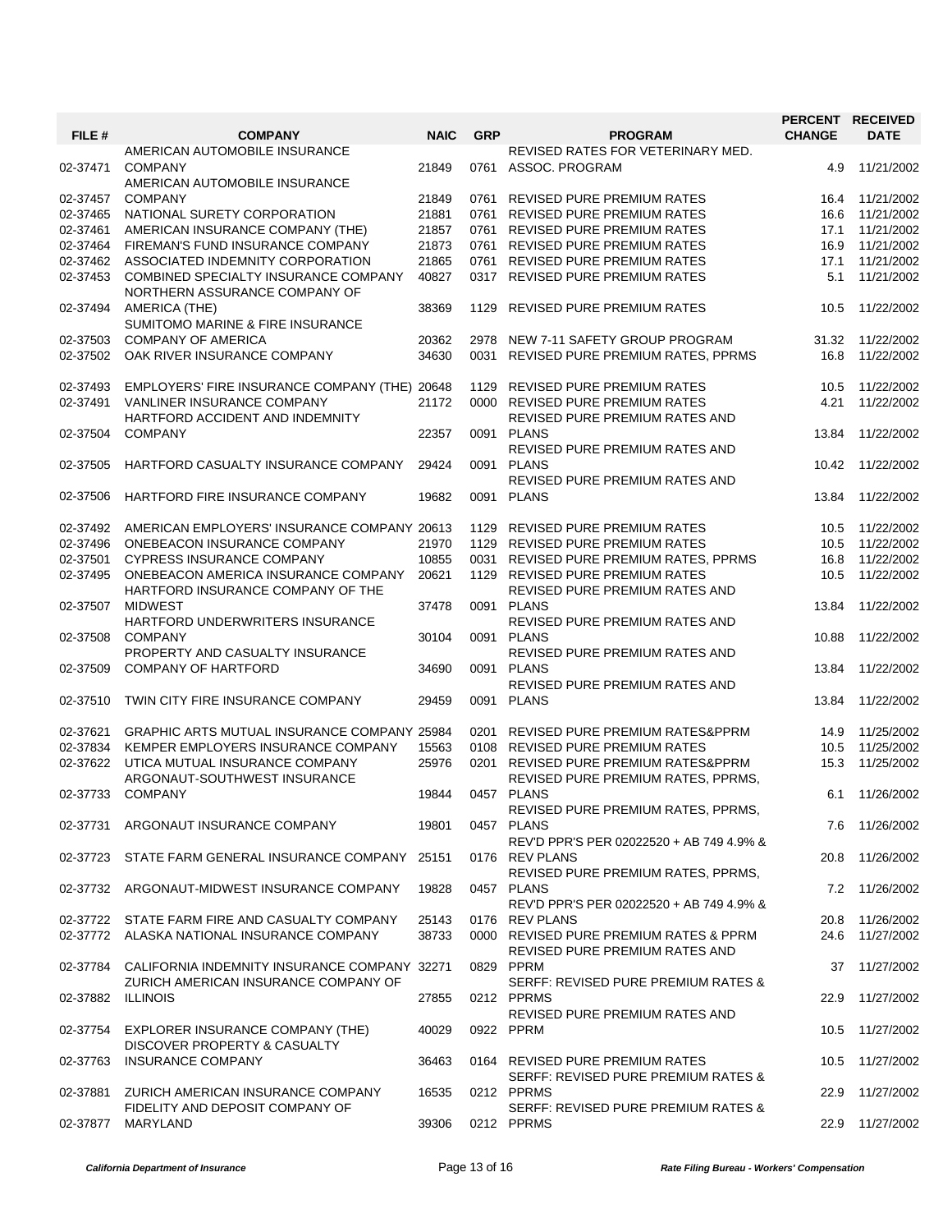|          |                                                                       |             |            |                                                          | PERCENT RECEIVED |                 |
|----------|-----------------------------------------------------------------------|-------------|------------|----------------------------------------------------------|------------------|-----------------|
| FILE #   | <b>COMPANY</b>                                                        | <b>NAIC</b> | <b>GRP</b> | <b>PROGRAM</b>                                           | <b>CHANGE</b>    | <b>DATE</b>     |
| 02-37471 | AMERICAN AUTOMOBILE INSURANCE<br><b>COMPANY</b>                       | 21849       |            | REVISED RATES FOR VETERINARY MED.<br>0761 ASSOC. PROGRAM | 4.9              | 11/21/2002      |
| 02-37457 | AMERICAN AUTOMOBILE INSURANCE<br><b>COMPANY</b>                       | 21849       |            | 0761 REVISED PURE PREMIUM RATES                          | 16.4             | 11/21/2002      |
| 02-37465 | NATIONAL SURETY CORPORATION                                           | 21881       | 0761       | <b>REVISED PURE PREMIUM RATES</b>                        | 16.6             | 11/21/2002      |
| 02-37461 | AMERICAN INSURANCE COMPANY (THE)                                      | 21857       |            | 0761 REVISED PURE PREMIUM RATES                          | 17.1             | 11/21/2002      |
|          |                                                                       |             |            |                                                          |                  |                 |
| 02-37464 | FIREMAN'S FUND INSURANCE COMPANY                                      | 21873       |            | 0761 REVISED PURE PREMIUM RATES                          | 16.9             | 11/21/2002      |
| 02-37462 | ASSOCIATED INDEMNITY CORPORATION                                      | 21865       |            | 0761 REVISED PURE PREMIUM RATES                          | 17.1             | 11/21/2002      |
| 02-37453 | COMBINED SPECIALTY INSURANCE COMPANY<br>NORTHERN ASSURANCE COMPANY OF | 40827       |            | 0317 REVISED PURE PREMIUM RATES                          | 5.1              | 11/21/2002      |
| 02-37494 | AMERICA (THE)<br>SUMITOMO MARINE & FIRE INSURANCE                     | 38369       | 1129       | <b>REVISED PURE PREMIUM RATES</b>                        | 10.5             | 11/22/2002      |
| 02-37503 | <b>COMPANY OF AMERICA</b>                                             | 20362       | 2978       | NEW 7-11 SAFETY GROUP PROGRAM                            | 31.32            | 11/22/2002      |
| 02-37502 | OAK RIVER INSURANCE COMPANY                                           | 34630       |            | 0031 REVISED PURE PREMIUM RATES, PPRMS                   | 16.8             | 11/22/2002      |
| 02-37493 | EMPLOYERS' FIRE INSURANCE COMPANY (THE) 20648                         |             | 1129       | <b>REVISED PURE PREMIUM RATES</b>                        | 10.5             | 11/22/2002      |
| 02-37491 | VANLINER INSURANCE COMPANY                                            | 21172       |            | 0000 REVISED PURE PREMIUM RATES                          | 4.21             | 11/22/2002      |
|          | HARTFORD ACCIDENT AND INDEMNITY                                       |             |            | REVISED PURE PREMIUM RATES AND                           |                  |                 |
| 02-37504 | <b>COMPANY</b>                                                        | 22357       |            | 0091 PLANS                                               | 13.84            | 11/22/2002      |
|          |                                                                       |             |            | REVISED PURE PREMIUM RATES AND                           |                  |                 |
| 02-37505 | HARTFORD CASUALTY INSURANCE COMPANY                                   | 29424       |            | 0091 PLANS                                               | 10.42            | 11/22/2002      |
|          |                                                                       |             |            | REVISED PURE PREMIUM RATES AND                           |                  |                 |
| 02-37506 |                                                                       | 19682       |            | 0091 PLANS                                               |                  |                 |
|          | HARTFORD FIRE INSURANCE COMPANY                                       |             |            |                                                          | 13.84            | 11/22/2002      |
| 02-37492 | AMERICAN EMPLOYERS' INSURANCE COMPANY 20613                           |             |            | 1129 REVISED PURE PREMIUM RATES                          | 10.5             | 11/22/2002      |
| 02-37496 | ONEBEACON INSURANCE COMPANY                                           | 21970       |            | 1129 REVISED PURE PREMIUM RATES                          | 10.5             | 11/22/2002      |
| 02-37501 | <b>CYPRESS INSURANCE COMPANY</b>                                      | 10855       |            | 0031 REVISED PURE PREMIUM RATES, PPRMS                   | 16.8             | 11/22/2002      |
| 02-37495 | ONEBEACON AMERICA INSURANCE COMPANY                                   | 20621       |            | 1129 REVISED PURE PREMIUM RATES                          | 10.5             | 11/22/2002      |
|          | HARTFORD INSURANCE COMPANY OF THE                                     |             |            | REVISED PURE PREMIUM RATES AND                           |                  |                 |
| 02-37507 | <b>MIDWEST</b>                                                        | 37478       |            | 0091 PLANS                                               | 13.84            | 11/22/2002      |
|          | HARTFORD UNDERWRITERS INSURANCE                                       |             |            | REVISED PURE PREMIUM RATES AND                           |                  |                 |
| 02-37508 | <b>COMPANY</b>                                                        | 30104       |            | 0091 PLANS                                               | 10.88            | 11/22/2002      |
|          | PROPERTY AND CASUALTY INSURANCE                                       |             |            | REVISED PURE PREMIUM RATES AND                           |                  |                 |
| 02-37509 | <b>COMPANY OF HARTFORD</b>                                            | 34690       |            | 0091 PLANS                                               |                  | 11/22/2002      |
|          |                                                                       |             |            |                                                          | 13.84            |                 |
|          |                                                                       |             |            | REVISED PURE PREMIUM RATES AND                           |                  |                 |
| 02-37510 | TWIN CITY FIRE INSURANCE COMPANY                                      | 29459       |            | 0091 PLANS                                               | 13.84            | 11/22/2002      |
| 02-37621 | GRAPHIC ARTS MUTUAL INSURANCE COMPANY 25984                           |             | 0201       | REVISED PURE PREMIUM RATES&PPRM                          | 14.9             | 11/25/2002      |
| 02-37834 | KEMPER EMPLOYERS INSURANCE COMPANY                                    | 15563       |            | 0108 REVISED PURE PREMIUM RATES                          | 10.5             | 11/25/2002      |
| 02-37622 | UTICA MUTUAL INSURANCE COMPANY                                        | 25976       |            | 0201 REVISED PURE PREMIUM RATES&PPRM                     | 15.3             | 11/25/2002      |
|          | ARGONAUT-SOUTHWEST INSURANCE                                          |             |            | REVISED PURE PREMIUM RATES, PPRMS,                       |                  |                 |
| 02-37733 | <b>COMPANY</b>                                                        | 19844       |            | 0457 PLANS                                               | 6.1              | 11/26/2002      |
|          |                                                                       |             |            | REVISED PURE PREMIUM RATES, PPRMS,                       |                  |                 |
|          | 02-37731 ARGONAUT INSURANCE COMPANY                                   | 19801       |            | 0457 PLANS                                               |                  | 7.6 11/26/2002  |
|          |                                                                       |             |            | REV'D PPR'S PER 02022520 + AB 749 4.9% &                 |                  |                 |
|          | 02-37723 STATE FARM GENERAL INSURANCE COMPANY 25151                   |             |            | 0176 REV PLANS                                           | 20.8             | 11/26/2002      |
|          |                                                                       |             |            |                                                          |                  |                 |
|          |                                                                       |             |            | REVISED PURE PREMIUM RATES, PPRMS,                       |                  |                 |
|          | 02-37732 ARGONAUT-MIDWEST INSURANCE COMPANY                           | 19828       |            | 0457 PLANS                                               |                  | 7.2 11/26/2002  |
|          |                                                                       |             |            | REV'D PPR'S PER 02022520 + AB 749 4.9% &                 |                  |                 |
|          | 02-37722 STATE FARM FIRE AND CASUALTY COMPANY                         | 25143       |            | 0176 REV PLANS                                           | 20.8             | 11/26/2002      |
|          | 02-37772 ALASKA NATIONAL INSURANCE COMPANY                            | 38733       |            | 0000 REVISED PURE PREMIUM RATES & PPRM                   | 24.6             | 11/27/2002      |
|          |                                                                       |             |            | REVISED PURE PREMIUM RATES AND                           |                  |                 |
| 02-37784 | CALIFORNIA INDEMNITY INSURANCE COMPANY 32271                          |             |            | 0829 PPRM                                                | 37               | 11/27/2002      |
|          | ZURICH AMERICAN INSURANCE COMPANY OF                                  |             |            | SERFF: REVISED PURE PREMIUM RATES &                      |                  |                 |
| 02-37882 | <b>ILLINOIS</b>                                                       | 27855       |            | 0212 PPRMS                                               | 22.9             | 11/27/2002      |
|          |                                                                       |             |            | REVISED PURE PREMIUM RATES AND                           |                  |                 |
|          | 02-37754 EXPLORER INSURANCE COMPANY (THE)                             | 40029       |            | 0922 PPRM                                                |                  | 10.5 11/27/2002 |
|          | DISCOVER PROPERTY & CASUALTY                                          |             |            |                                                          |                  |                 |
|          | <b>INSURANCE COMPANY</b>                                              |             |            | 0164 REVISED PURE PREMIUM RATES                          |                  | 11/27/2002      |
| 02-37763 |                                                                       | 36463       |            |                                                          | 10.5             |                 |
|          |                                                                       |             |            | SERFF: REVISED PURE PREMIUM RATES &                      |                  |                 |
| 02-37881 | ZURICH AMERICAN INSURANCE COMPANY                                     | 16535       |            | 0212 PPRMS                                               | 22.9             | 11/27/2002      |
|          | FIDELITY AND DEPOSIT COMPANY OF                                       |             |            | SERFF: REVISED PURE PREMIUM RATES &                      |                  |                 |
| 02-37877 | MARYLAND                                                              | 39306       |            | 0212 PPRMS                                               | 22.9             | 11/27/2002      |
|          |                                                                       |             |            |                                                          |                  |                 |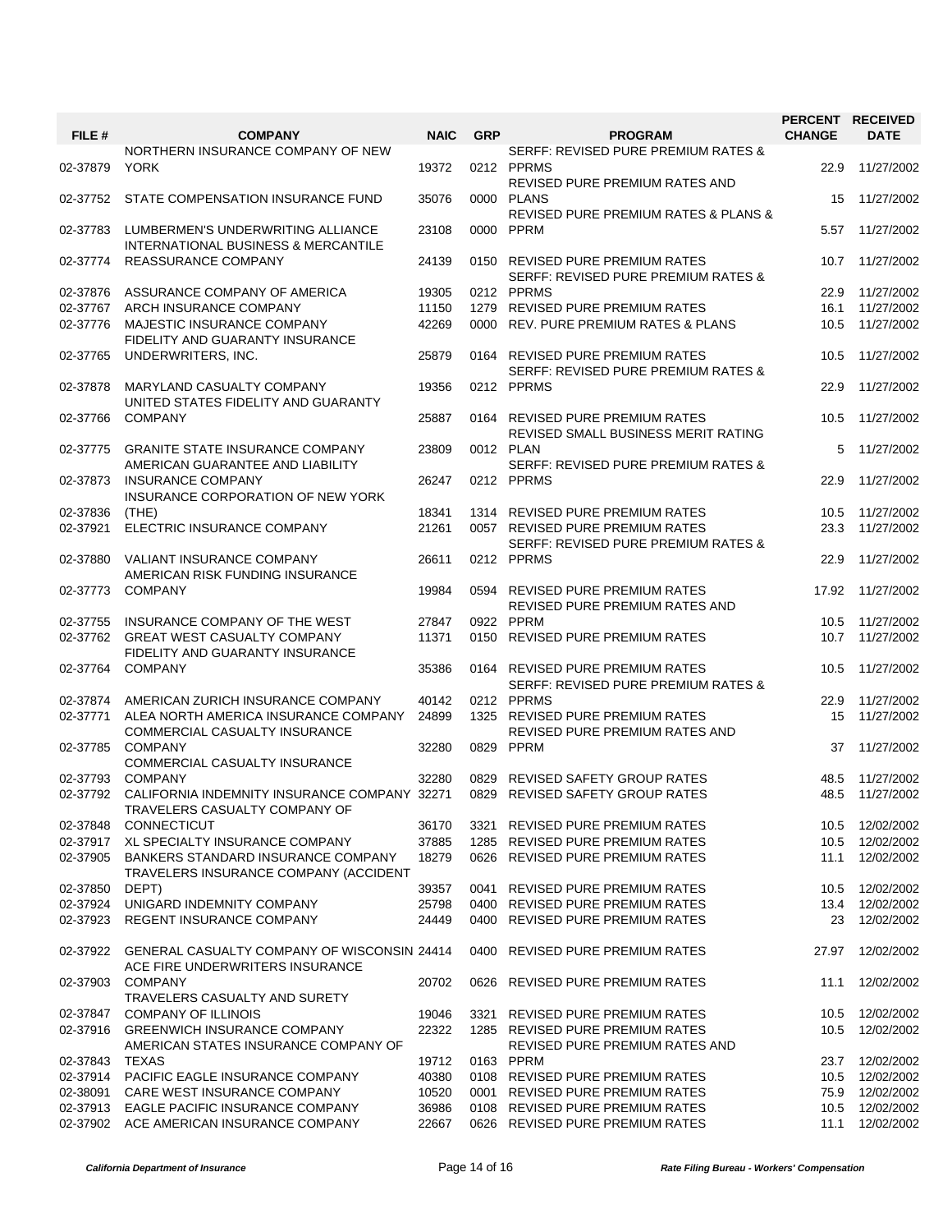| FILE #   | <b>COMPANY</b>                                                                        | <b>NAIC</b> | <b>GRP</b> | <b>PROGRAM</b>                                                         | PERCENT RECEIVED<br><b>CHANGE</b> | <b>DATE</b>     |
|----------|---------------------------------------------------------------------------------------|-------------|------------|------------------------------------------------------------------------|-----------------------------------|-----------------|
|          |                                                                                       |             |            |                                                                        |                                   |                 |
| 02-37879 | NORTHERN INSURANCE COMPANY OF NEW<br><b>YORK</b>                                      | 19372       |            | SERFF: REVISED PURE PREMIUM RATES &<br>0212 PPRMS                      | 22.9                              | 11/27/2002      |
| 02-37752 | STATE COMPENSATION INSURANCE FUND                                                     | 35076       |            | REVISED PURE PREMIUM RATES AND<br>0000 PLANS                           | 15                                | 11/27/2002      |
|          |                                                                                       |             |            | <b>REVISED PURE PREMIUM RATES &amp; PLANS &amp;</b>                    |                                   |                 |
| 02-37783 | LUMBERMEN'S UNDERWRITING ALLIANCE<br>INTERNATIONAL BUSINESS & MERCANTILE              | 23108       |            | 0000 PPRM                                                              | 5.57                              | 11/27/2002      |
| 02-37774 | <b>REASSURANCE COMPANY</b>                                                            | 24139       |            | 0150 REVISED PURE PREMIUM RATES<br>SERFF: REVISED PURE PREMIUM RATES & | 10.7                              | 11/27/2002      |
| 02-37876 | ASSURANCE COMPANY OF AMERICA                                                          | 19305       |            | 0212 PPRMS                                                             | 22.9                              | 11/27/2002      |
| 02-37767 | ARCH INSURANCE COMPANY                                                                | 11150       |            | 1279 REVISED PURE PREMIUM RATES                                        | 16.1                              | 11/27/2002      |
| 02-37776 | MAJESTIC INSURANCE COMPANY                                                            | 42269       |            | 0000 REV. PURE PREMIUM RATES & PLANS                                   | 10.5                              | 11/27/2002      |
| 02-37765 | FIDELITY AND GUARANTY INSURANCE<br>UNDERWRITERS, INC.                                 | 25879       |            | 0164 REVISED PURE PREMIUM RATES                                        | 10.5                              | 11/27/2002      |
| 02-37878 | MARYLAND CASUALTY COMPANY                                                             | 19356       |            | SERFF: REVISED PURE PREMIUM RATES &<br>0212 PPRMS                      | 22.9                              | 11/27/2002      |
|          | UNITED STATES FIDELITY AND GUARANTY                                                   |             |            |                                                                        |                                   |                 |
| 02-37766 | <b>COMPANY</b>                                                                        | 25887       |            | 0164 REVISED PURE PREMIUM RATES<br>REVISED SMALL BUSINESS MERIT RATING | 10.5                              | 11/27/2002      |
| 02-37775 | <b>GRANITE STATE INSURANCE COMPANY</b>                                                | 23809       |            | 0012 PLAN                                                              | 5                                 | 11/27/2002      |
|          | AMERICAN GUARANTEE AND LIABILITY                                                      |             |            | <b>SERFF: REVISED PURE PREMIUM RATES &amp;</b>                         |                                   |                 |
| 02-37873 | <b>INSURANCE COMPANY</b><br>INSURANCE CORPORATION OF NEW YORK                         | 26247       |            | 0212 PPRMS                                                             | 22.9                              | 11/27/2002      |
| 02-37836 | (THE)                                                                                 | 18341       |            | 1314 REVISED PURE PREMIUM RATES                                        | 10.5                              | 11/27/2002      |
| 02-37921 | ELECTRIC INSURANCE COMPANY                                                            | 21261       |            | 0057 REVISED PURE PREMIUM RATES                                        | 23.3                              | 11/27/2002      |
| 02-37880 | <b>VALIANT INSURANCE COMPANY</b>                                                      | 26611       |            | SERFF: REVISED PURE PREMIUM RATES &<br>0212 PPRMS                      | 22.9                              | 11/27/2002      |
| 02-37773 | AMERICAN RISK FUNDING INSURANCE<br><b>COMPANY</b>                                     | 19984       |            | 0594 REVISED PURE PREMIUM RATES                                        | 17.92                             | 11/27/2002      |
| 02-37755 | INSURANCE COMPANY OF THE WEST                                                         | 27847       |            | REVISED PURE PREMIUM RATES AND<br>0922 PPRM                            | 10.5                              | 11/27/2002      |
| 02-37762 | <b>GREAT WEST CASUALTY COMPANY</b><br>FIDELITY AND GUARANTY INSURANCE                 | 11371       | 0150       | <b>REVISED PURE PREMIUM RATES</b>                                      | 10.7                              | 11/27/2002      |
| 02-37764 | <b>COMPANY</b>                                                                        | 35386       |            | 0164 REVISED PURE PREMIUM RATES<br>SERFF: REVISED PURE PREMIUM RATES & | 10.5                              | 11/27/2002      |
| 02-37874 | AMERICAN ZURICH INSURANCE COMPANY                                                     | 40142       |            | 0212 PPRMS                                                             | 22.9                              | 11/27/2002      |
| 02-37771 | ALEA NORTH AMERICA INSURANCE COMPANY                                                  | 24899       |            | 1325 REVISED PURE PREMIUM RATES                                        | 15                                | 11/27/2002      |
| 02-37785 | <b>COMMERCIAL CASUALTY INSURANCE</b><br><b>COMPANY</b>                                | 32280       |            | <b>REVISED PURE PREMIUM RATES AND</b><br>0829 PPRM                     | 37                                | 11/27/2002      |
|          | COMMERCIAL CASUALTY INSURANCE                                                         |             |            |                                                                        |                                   |                 |
| 02-37793 | <b>COMPANY</b>                                                                        | 32280       | 0829       | REVISED SAFETY GROUP RATES                                             | 48.5                              | 11/27/2002      |
| 02-37792 | CALIFORNIA INDEMNITY INSURANCE COMPANY 32271<br>TRAVELERS CASUALTY COMPANY OF         |             |            | 0829 REVISED SAFETY GROUP RATES                                        | 48.5                              | 11/27/2002      |
| 02-37848 | CONNECTICUT                                                                           | 36170       |            | 3321 REVISED PURE PREMIUM RATES                                        |                                   | 10.5 12/02/2002 |
| 02-37917 | XL SPECIALTY INSURANCE COMPANY                                                        | 37885       |            | 1285 REVISED PURE PREMIUM RATES                                        | 10.5                              | 12/02/2002      |
| 02-37905 | <b>BANKERS STANDARD INSURANCE COMPANY</b><br>TRAVELERS INSURANCE COMPANY (ACCIDENT    | 18279       |            | 0626 REVISED PURE PREMIUM RATES                                        | 11.1                              | 12/02/2002      |
| 02-37850 | DEPT)                                                                                 | 39357       |            | 0041 REVISED PURE PREMIUM RATES                                        | 10.5                              | 12/02/2002      |
| 02-37924 | UNIGARD INDEMNITY COMPANY                                                             | 25798       |            | 0400 REVISED PURE PREMIUM RATES                                        | 13.4                              | 12/02/2002      |
| 02-37923 | <b>REGENT INSURANCE COMPANY</b>                                                       | 24449       |            | 0400 REVISED PURE PREMIUM RATES                                        | 23                                | 12/02/2002      |
| 02-37922 | <b>GENERAL CASUALTY COMPANY OF WISCONSIN 24414</b><br>ACE FIRE UNDERWRITERS INSURANCE |             |            | 0400 REVISED PURE PREMIUM RATES                                        | 27.97                             | 12/02/2002      |
| 02-37903 | <b>COMPANY</b>                                                                        | 20702       |            | 0626 REVISED PURE PREMIUM RATES                                        | 11.1                              | 12/02/2002      |
| 02-37847 | TRAVELERS CASUALTY AND SURETY<br><b>COMPANY OF ILLINOIS</b>                           | 19046       |            | 3321 REVISED PURE PREMIUM RATES                                        | 10.5                              | 12/02/2002      |
| 02-37916 | <b>GREENWICH INSURANCE COMPANY</b>                                                    | 22322       |            | 1285 REVISED PURE PREMIUM RATES                                        | 10.5                              | 12/02/2002      |
|          | AMERICAN STATES INSURANCE COMPANY OF                                                  |             |            | REVISED PURE PREMIUM RATES AND                                         |                                   |                 |
| 02-37843 | <b>TEXAS</b>                                                                          | 19712       |            | 0163 PPRM                                                              | 23.7                              | 12/02/2002      |
| 02-37914 | PACIFIC EAGLE INSURANCE COMPANY                                                       | 40380       |            | 0108 REVISED PURE PREMIUM RATES                                        | 10.5                              | 12/02/2002      |
| 02-38091 | CARE WEST INSURANCE COMPANY                                                           | 10520       |            | 0001 REVISED PURE PREMIUM RATES                                        | 75.9                              | 12/02/2002      |
| 02-37913 | EAGLE PACIFIC INSURANCE COMPANY                                                       | 36986       |            | 0108 REVISED PURE PREMIUM RATES                                        | 10.5                              | 12/02/2002      |
|          | 02-37902 ACE AMERICAN INSURANCE COMPANY                                               | 22667       |            | 0626 REVISED PURE PREMIUM RATES                                        | 11.1                              | 12/02/2002      |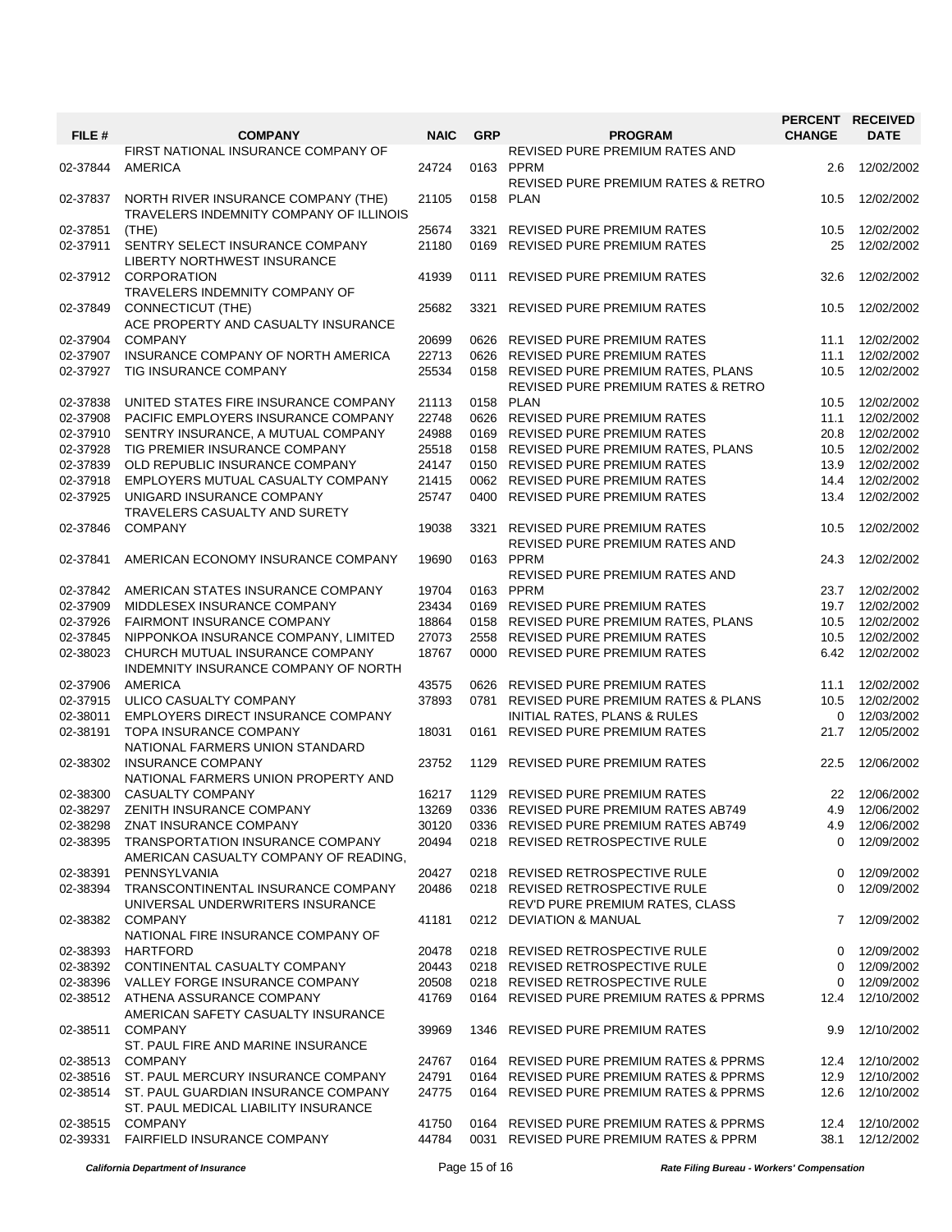|          |                                                                                |             |            |                                                            |               | PERCENT RECEIVED |
|----------|--------------------------------------------------------------------------------|-------------|------------|------------------------------------------------------------|---------------|------------------|
| FILE #   | <b>COMPANY</b>                                                                 | <b>NAIC</b> | <b>GRP</b> | <b>PROGRAM</b>                                             | <b>CHANGE</b> | <b>DATE</b>      |
| 02-37844 | FIRST NATIONAL INSURANCE COMPANY OF<br><b>AMERICA</b>                          | 24724       |            | REVISED PURE PREMIUM RATES AND<br>0163 PPRM                | 2.6           | 12/02/2002       |
| 02-37837 | NORTH RIVER INSURANCE COMPANY (THE)<br>TRAVELERS INDEMNITY COMPANY OF ILLINOIS | 21105       |            | REVISED PURE PREMIUM RATES & RETRO<br>0158 PLAN            | 10.5          | 12/02/2002       |
| 02-37851 | (THE)                                                                          | 25674       | 3321       | REVISED PURE PREMIUM RATES                                 | 10.5          | 12/02/2002       |
| 02-37911 | SENTRY SELECT INSURANCE COMPANY<br>LIBERTY NORTHWEST INSURANCE                 | 21180       |            | 0169 REVISED PURE PREMIUM RATES                            | 25            | 12/02/2002       |
| 02-37912 | <b>CORPORATION</b><br>TRAVELERS INDEMNITY COMPANY OF                           | 41939       |            | 0111 REVISED PURE PREMIUM RATES                            | 32.6          | 12/02/2002       |
| 02-37849 | <b>CONNECTICUT (THE)</b><br>ACE PROPERTY AND CASUALTY INSURANCE                | 25682       | 3321       | <b>REVISED PURE PREMIUM RATES</b>                          | 10.5          | 12/02/2002       |
| 02-37904 | <b>COMPANY</b>                                                                 | 20699       |            | 0626 REVISED PURE PREMIUM RATES                            | 11.1          | 12/02/2002       |
| 02-37907 | INSURANCE COMPANY OF NORTH AMERICA                                             | 22713       |            | 0626 REVISED PURE PREMIUM RATES                            | 11.1          | 12/02/2002       |
| 02-37927 | TIG INSURANCE COMPANY                                                          | 25534       |            | 0158 REVISED PURE PREMIUM RATES, PLANS                     | 10.5          | 12/02/2002       |
|          |                                                                                |             |            | REVISED PURE PREMIUM RATES & RETRO                         |               |                  |
| 02-37838 | UNITED STATES FIRE INSURANCE COMPANY                                           | 21113       |            | 0158 PLAN                                                  | 10.5          | 12/02/2002       |
| 02-37908 | PACIFIC EMPLOYERS INSURANCE COMPANY                                            | 22748       |            | 0626 REVISED PURE PREMIUM RATES                            | 11.1          | 12/02/2002       |
| 02-37910 | SENTRY INSURANCE, A MUTUAL COMPANY                                             | 24988       |            | 0169 REVISED PURE PREMIUM RATES                            | 20.8          | 12/02/2002       |
| 02-37928 | TIG PREMIER INSURANCE COMPANY                                                  | 25518       |            | 0158 REVISED PURE PREMIUM RATES, PLANS                     | 10.5          | 12/02/2002       |
| 02-37839 | OLD REPUBLIC INSURANCE COMPANY                                                 | 24147       |            | 0150 REVISED PURE PREMIUM RATES                            | 13.9          | 12/02/2002       |
| 02-37918 | EMPLOYERS MUTUAL CASUALTY COMPANY                                              | 21415       |            | 0062 REVISED PURE PREMIUM RATES                            | 14.4          | 12/02/2002       |
| 02-37925 | UNIGARD INSURANCE COMPANY<br>TRAVELERS CASUALTY AND SURETY                     | 25747       |            | 0400 REVISED PURE PREMIUM RATES                            | 13.4          | 12/02/2002       |
| 02-37846 | <b>COMPANY</b>                                                                 | 19038       | 3321       | <b>REVISED PURE PREMIUM RATES</b>                          | 10.5          | 12/02/2002       |
|          |                                                                                |             |            | REVISED PURE PREMIUM RATES AND                             |               |                  |
| 02-37841 | AMERICAN ECONOMY INSURANCE COMPANY                                             | 19690       |            | 0163 PPRM                                                  | 24.3          | 12/02/2002       |
|          |                                                                                |             |            | REVISED PURE PREMIUM RATES AND                             |               |                  |
| 02-37842 | AMERICAN STATES INSURANCE COMPANY                                              | 19704       |            | 0163 PPRM                                                  | 23.7          | 12/02/2002       |
| 02-37909 | MIDDLESEX INSURANCE COMPANY                                                    | 23434       |            | 0169 REVISED PURE PREMIUM RATES                            | 19.7          | 12/02/2002       |
| 02-37926 | <b>FAIRMONT INSURANCE COMPANY</b>                                              | 18864       |            | 0158 REVISED PURE PREMIUM RATES, PLANS                     | 10.5          | 12/02/2002       |
| 02-37845 | NIPPONKOA INSURANCE COMPANY, LIMITED                                           | 27073       |            | 2558 REVISED PURE PREMIUM RATES                            | 10.5          | 12/02/2002       |
| 02-38023 | CHURCH MUTUAL INSURANCE COMPANY<br>INDEMNITY INSURANCE COMPANY OF NORTH        | 18767       |            | 0000 REVISED PURE PREMIUM RATES                            | 6.42          | 12/02/2002       |
| 02-37906 | <b>AMERICA</b>                                                                 | 43575       |            | 0626 REVISED PURE PREMIUM RATES                            | 11.1          | 12/02/2002       |
| 02-37915 | ULICO CASUALTY COMPANY                                                         | 37893       | 0781       | <b>REVISED PURE PREMIUM RATES &amp; PLANS</b>              | 10.5          | 12/02/2002       |
| 02-38011 | EMPLOYERS DIRECT INSURANCE COMPANY                                             |             |            | INITIAL RATES, PLANS & RULES                               | 0             | 12/03/2002       |
| 02-38191 | TOPA INSURANCE COMPANY<br>NATIONAL FARMERS UNION STANDARD                      | 18031       | 0161       | REVISED PURE PREMIUM RATES                                 | 21.7          | 12/05/2002       |
| 02-38302 | <b>INSURANCE COMPANY</b><br>NATIONAL FARMERS UNION PROPERTY AND                | 23752       |            | 1129 REVISED PURE PREMIUM RATES                            | 22.5          | 12/06/2002       |
| 02-38300 | <b>CASUALTY COMPANY</b>                                                        | 16217       |            | 1129 REVISED PURE PREMIUM RATES                            |               | 22 12/06/2002    |
| 02-38297 | ZENITH INSURANCE COMPANY                                                       | 13269       |            | 0336 REVISED PURE PREMIUM RATES AB749                      | 4.9           | 12/06/2002       |
| 02-38298 | ZNAT INSURANCE COMPANY                                                         | 30120       |            | 0336 REVISED PURE PREMIUM RATES AB749                      |               | 4.9 12/06/2002   |
| 02-38395 | TRANSPORTATION INSURANCE COMPANY<br>AMERICAN CASUALTY COMPANY OF READING,      | 20494       | 0218       | REVISED RETROSPECTIVE RULE                                 | 0             | 12/09/2002       |
| 02-38391 | PENNSYLVANIA                                                                   | 20427       |            | 0218 REVISED RETROSPECTIVE RULE                            | 0             | 12/09/2002       |
| 02-38394 | TRANSCONTINENTAL INSURANCE COMPANY                                             | 20486       |            | 0218 REVISED RETROSPECTIVE RULE                            | $\Omega$      | 12/09/2002       |
| 02-38382 | UNIVERSAL UNDERWRITERS INSURANCE<br><b>COMPANY</b>                             | 41181       |            | REV'D PURE PREMIUM RATES, CLASS<br>0212 DEVIATION & MANUAL |               | 7 12/09/2002     |
|          | NATIONAL FIRE INSURANCE COMPANY OF                                             |             |            |                                                            |               |                  |
| 02-38393 | <b>HARTFORD</b>                                                                | 20478       |            | 0218 REVISED RETROSPECTIVE RULE                            | 0             | 12/09/2002       |
| 02-38392 | CONTINENTAL CASUALTY COMPANY                                                   | 20443       |            | 0218 REVISED RETROSPECTIVE RULE                            | 0             | 12/09/2002       |
|          | 02-38396 VALLEY FORGE INSURANCE COMPANY                                        | 20508       |            | 0218 REVISED RETROSPECTIVE RULE                            | 0             | 12/09/2002       |
| 02-38512 | ATHENA ASSURANCE COMPANY<br>AMERICAN SAFETY CASUALTY INSURANCE                 | 41769       |            | 0164 REVISED PURE PREMIUM RATES & PPRMS                    | 12.4          | 12/10/2002       |
| 02-38511 | <b>COMPANY</b><br>ST. PAUL FIRE AND MARINE INSURANCE                           | 39969       |            | 1346 REVISED PURE PREMIUM RATES                            | 9.9           | 12/10/2002       |
| 02-38513 | <b>COMPANY</b>                                                                 | 24767       |            | 0164 REVISED PURE PREMIUM RATES & PPRMS                    |               | 12.4 12/10/2002  |
| 02-38516 | ST. PAUL MERCURY INSURANCE COMPANY                                             | 24791       |            | 0164 REVISED PURE PREMIUM RATES & PPRMS                    |               | 12.9  12/10/2002 |
| 02-38514 | ST. PAUL GUARDIAN INSURANCE COMPANY<br>ST. PAUL MEDICAL LIABILITY INSURANCE    | 24775       |            | 0164 REVISED PURE PREMIUM RATES & PPRMS                    | 12.6          | 12/10/2002       |
| 02-38515 | <b>COMPANY</b>                                                                 | 41750       |            | 0164 REVISED PURE PREMIUM RATES & PPRMS                    |               | 12.4 12/10/2002  |
| 02-39331 | FAIRFIELD INSURANCE COMPANY                                                    | 44784       |            | 0031 REVISED PURE PREMIUM RATES & PPRM                     | 38.1          | 12/12/2002       |